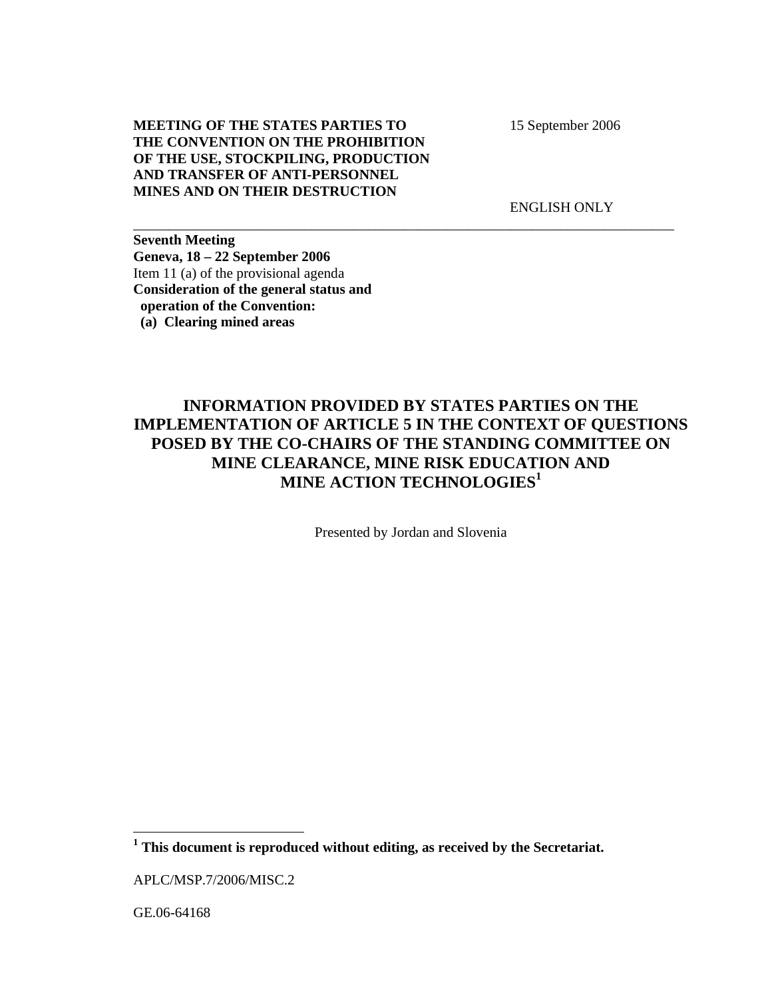**MEETING OF THE STATES PARTIES TO THE CONVENTION ON THE PROHIBITION OF THE USE, STOCKPILING, PRODUCTION AND TRANSFER OF ANTI-PERSONNEL MINES AND ON THEIR DESTRUCTION** 

15 September 2006

ENGLISH ONLY

**Seventh Meeting Geneva, 18 – 22 September 2006**  Item 11 (a) of the provisional agenda **Consideration of the general status and operation of the Convention: (a) Clearing mined areas** 

## **INFORMATION PROVIDED BY STATES PARTIES ON THE IMPLEMENTATION OF ARTICLE 5 IN THE CONTEXT OF QUESTIONS POSED BY THE CO-CHAIRS OF THE STANDING COMMITTEE ON MINE CLEARANCE, MINE RISK EDUCATION AND MINE ACTION TECHNOLOGIES<sup>1</sup>**

\_\_\_\_\_\_\_\_\_\_\_\_\_\_\_\_\_\_\_\_\_\_\_\_\_\_\_\_\_\_\_\_\_\_\_\_\_\_\_\_\_\_\_\_\_\_\_\_\_\_\_\_\_\_\_\_\_\_\_\_\_\_\_\_\_\_\_\_\_\_\_\_\_\_\_\_

Presented by Jordan and Slovenia

l

**<sup>1</sup> This document is reproduced without editing, as received by the Secretariat.** 

APLC/MSP.7/2006/MISC.2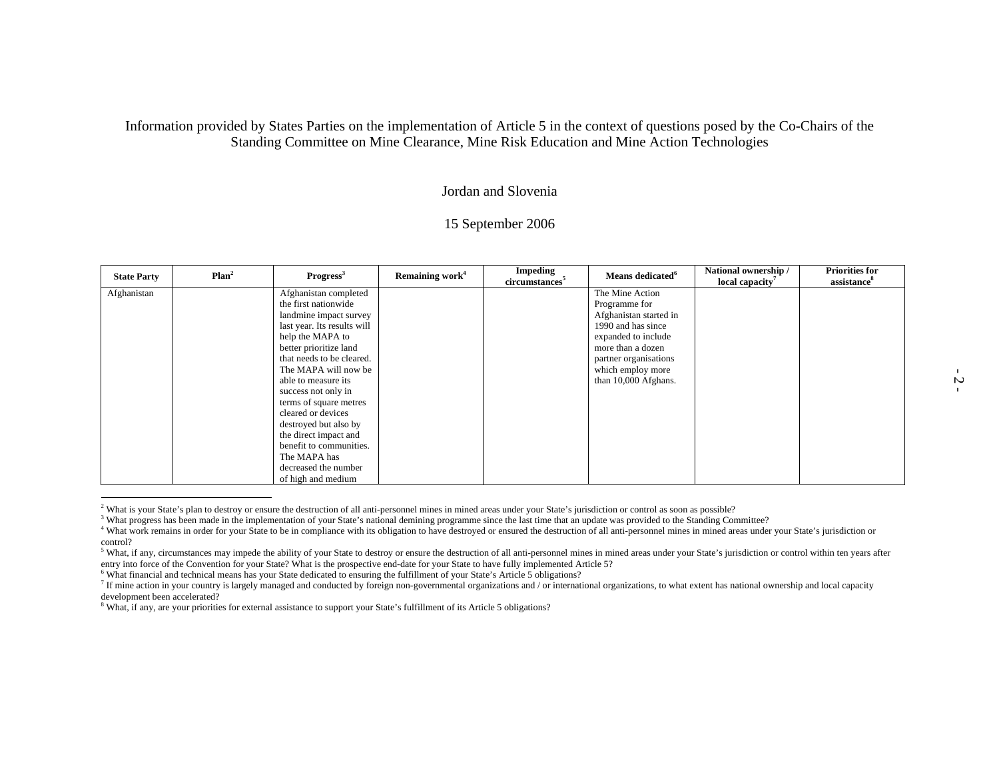## Information provided by States Parties on the implementation of Article 5 in the context of questions posed by the Co-Chairs of the Standing Committee on Mine Clearance, Mine Risk Education and Mine Action Technologies

## Jordan and Slovenia

## 15 September 2006

| <b>State Party</b> | Plan <sup>2</sup> | $Program$                   | Remaining work <sup>4</sup> | <b>Impeding</b><br>circumstances <sup>5</sup> | Means dedicated <sup>6</sup> | National ownership /<br>local capacity <sup>7</sup> | <b>Priorities for</b><br>assistance <sup>8</sup> |
|--------------------|-------------------|-----------------------------|-----------------------------|-----------------------------------------------|------------------------------|-----------------------------------------------------|--------------------------------------------------|
| Afghanistan        |                   | Afghanistan completed       |                             |                                               | The Mine Action              |                                                     |                                                  |
|                    |                   | the first nationwide        |                             |                                               | Programme for                |                                                     |                                                  |
|                    |                   | landmine impact survey      |                             |                                               | Afghanistan started in       |                                                     |                                                  |
|                    |                   | last year. Its results will |                             |                                               | 1990 and has since           |                                                     |                                                  |
|                    |                   | help the MAPA to            |                             |                                               | expanded to include          |                                                     |                                                  |
|                    |                   | better prioritize land      |                             |                                               | more than a dozen            |                                                     |                                                  |
|                    |                   | that needs to be cleared.   |                             |                                               | partner organisations        |                                                     |                                                  |
|                    |                   | The MAPA will now be        |                             |                                               | which employ more            |                                                     |                                                  |
|                    |                   | able to measure its         |                             |                                               | than 10,000 Afghans.         |                                                     |                                                  |
|                    |                   | success not only in         |                             |                                               |                              |                                                     |                                                  |
|                    |                   | terms of square metres      |                             |                                               |                              |                                                     |                                                  |
|                    |                   | cleared or devices          |                             |                                               |                              |                                                     |                                                  |
|                    |                   | destroyed but also by       |                             |                                               |                              |                                                     |                                                  |
|                    |                   | the direct impact and       |                             |                                               |                              |                                                     |                                                  |
|                    |                   | benefit to communities.     |                             |                                               |                              |                                                     |                                                  |
|                    |                   | The MAPA has                |                             |                                               |                              |                                                     |                                                  |
|                    |                   | decreased the number        |                             |                                               |                              |                                                     |                                                  |
|                    |                   | of high and medium          |                             |                                               |                              |                                                     |                                                  |

<sup>2</sup> What is your State's plan to destroy or ensure the destruction of all anti-personnel mines in mined areas under your State's jurisdiction or control as soon as possible?<br><sup>3</sup> What progress has been made in the implement control?

 $5$  What, if any, circumstances may impede the ability of your State to destroy or ensure the destruction of all anti-personnel mines in mined areas under your State's jurisdiction or control within ten years after entry

<sup>6</sup> What financial and technical means has your State dedicated to ensuring the fulfillment of your State's Article 5 obligations?

 $^7$  If mine action in your country is largely managed and conducted by foreign non-governmental organizations and / or international organizations, to what extent has national ownership and local capacity development been accelerated?

<sup>8</sup> What, if any, are your priorities for external assistance to support your State's fulfillment of its Article 5 obligations?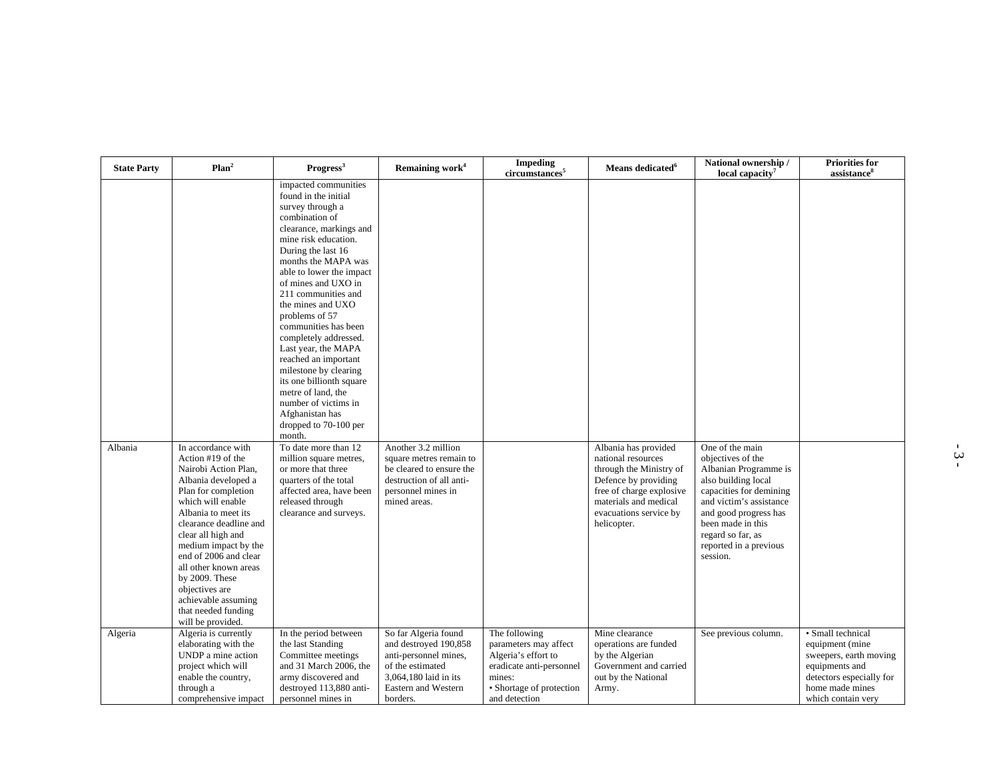| <b>State Party</b> | Plan <sup>2</sup>                                                                                                                                                                                                                                                                                                                                                                          | Progress <sup>3</sup>                                                                                                                                                                                                                                                                                                                                                                                                                                                                                                                                        | Remaining work <sup>4</sup>                                                                                                                                   | <b>Impeding</b><br>circumstances <sup>5</sup>                                                                                                    | Means dedicated <sup>6</sup>                                                                                                                                                                | National ownership /<br>local capacity <sup>7</sup>                                                                                                                                                                                                 | <b>Priorities for</b><br>assistance <sup>8</sup>                                                                                                      |
|--------------------|--------------------------------------------------------------------------------------------------------------------------------------------------------------------------------------------------------------------------------------------------------------------------------------------------------------------------------------------------------------------------------------------|--------------------------------------------------------------------------------------------------------------------------------------------------------------------------------------------------------------------------------------------------------------------------------------------------------------------------------------------------------------------------------------------------------------------------------------------------------------------------------------------------------------------------------------------------------------|---------------------------------------------------------------------------------------------------------------------------------------------------------------|--------------------------------------------------------------------------------------------------------------------------------------------------|---------------------------------------------------------------------------------------------------------------------------------------------------------------------------------------------|-----------------------------------------------------------------------------------------------------------------------------------------------------------------------------------------------------------------------------------------------------|-------------------------------------------------------------------------------------------------------------------------------------------------------|
|                    |                                                                                                                                                                                                                                                                                                                                                                                            | impacted communities<br>found in the initial<br>survey through a<br>combination of<br>clearance, markings and<br>mine risk education.<br>During the last 16<br>months the MAPA was<br>able to lower the impact<br>of mines and UXO in<br>211 communities and<br>the mines and UXO<br>problems of 57<br>communities has been<br>completely addressed.<br>Last year, the MAPA<br>reached an important<br>milestone by clearing<br>its one billionth square<br>metre of land, the<br>number of victims in<br>Afghanistan has<br>dropped to 70-100 per<br>month. |                                                                                                                                                               |                                                                                                                                                  |                                                                                                                                                                                             |                                                                                                                                                                                                                                                     |                                                                                                                                                       |
| Albania            | In accordance with<br>Action #19 of the<br>Nairobi Action Plan,<br>Albania developed a<br>Plan for completion<br>which will enable<br>Albania to meet its<br>clearance deadline and<br>clear all high and<br>medium impact by the<br>end of 2006 and clear<br>all other known areas<br>by 2009. These<br>objectives are<br>achievable assuming<br>that needed funding<br>will be provided. | To date more than 12<br>million square metres,<br>or more that three<br>quarters of the total<br>affected area, have been<br>released through<br>clearance and surveys.                                                                                                                                                                                                                                                                                                                                                                                      | Another 3.2 million<br>square metres remain to<br>be cleared to ensure the<br>destruction of all anti-<br>personnel mines in<br>mined areas.                  |                                                                                                                                                  | Albania has provided<br>national resources<br>through the Ministry of<br>Defence by providing<br>free of charge explosive<br>materials and medical<br>evacuations service by<br>helicopter. | One of the main<br>objectives of the<br>Albanian Programme is<br>also building local<br>capacities for demining<br>and victim's assistance<br>and good progress has<br>been made in this<br>regard so far, as<br>reported in a previous<br>session. |                                                                                                                                                       |
| Algeria            | Algeria is currently<br>elaborating with the<br>UNDP a mine action<br>project which will<br>enable the country,<br>through a<br>comprehensive impact                                                                                                                                                                                                                                       | In the period between<br>the last Standing<br>Committee meetings<br>and 31 March 2006, the<br>army discovered and<br>destroyed 113,880 anti-<br>personnel mines in                                                                                                                                                                                                                                                                                                                                                                                           | So far Algeria found<br>and destroyed 190,858<br>anti-personnel mines,<br>of the estimated<br>3,064,180 laid in its<br><b>Eastern and Western</b><br>borders. | The following<br>parameters may affect<br>Algeria's effort to<br>eradicate anti-personnel<br>mines:<br>• Shortage of protection<br>and detection | Mine clearance<br>operations are funded<br>by the Algerian<br>Government and carried<br>out by the National<br>Army.                                                                        | See previous column.                                                                                                                                                                                                                                | • Small technical<br>equipment (mine<br>sweepers, earth moving<br>equipments and<br>detectors especially for<br>home made mines<br>which contain very |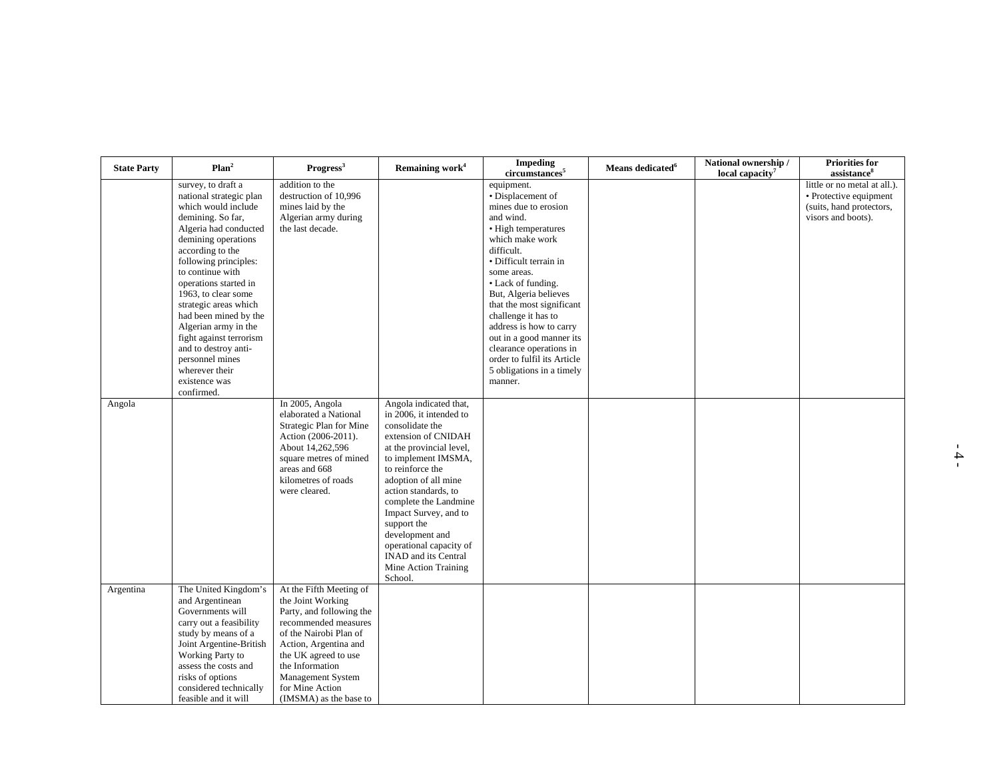| <b>State Party</b> | Plan <sup>2</sup>                                                                                                                                                                                                                                                                                                                                                                                                                                           | Progress <sup>3</sup>                                                                                                                                                                                                                                            | Remaining work <sup>4</sup>                                                                                                                                                                                                                                                                                                                                                                  | <b>Impeding</b><br>circumstances <sup>5</sup>                                                                                                                                                                                                                                                                                                                                                                                     | Means dedicated <sup>6</sup> | National ownership /<br>local capacity <sup>7</sup> | Priorities for<br>assistance                                                                             |
|--------------------|-------------------------------------------------------------------------------------------------------------------------------------------------------------------------------------------------------------------------------------------------------------------------------------------------------------------------------------------------------------------------------------------------------------------------------------------------------------|------------------------------------------------------------------------------------------------------------------------------------------------------------------------------------------------------------------------------------------------------------------|----------------------------------------------------------------------------------------------------------------------------------------------------------------------------------------------------------------------------------------------------------------------------------------------------------------------------------------------------------------------------------------------|-----------------------------------------------------------------------------------------------------------------------------------------------------------------------------------------------------------------------------------------------------------------------------------------------------------------------------------------------------------------------------------------------------------------------------------|------------------------------|-----------------------------------------------------|----------------------------------------------------------------------------------------------------------|
|                    | survey, to draft a<br>national strategic plan<br>which would include<br>demining. So far,<br>Algeria had conducted<br>demining operations<br>according to the<br>following principles:<br>to continue with<br>operations started in<br>1963, to clear some<br>strategic areas which<br>had been mined by the<br>Algerian army in the<br>fight against terrorism<br>and to destroy anti-<br>personnel mines<br>wherever their<br>existence was<br>confirmed. | addition to the<br>destruction of 10,996<br>mines laid by the<br>Algerian army during<br>the last decade.                                                                                                                                                        |                                                                                                                                                                                                                                                                                                                                                                                              | equipment.<br>· Displacement of<br>mines due to erosion<br>and wind.<br>• High temperatures<br>which make work<br>difficult.<br>· Difficult terrain in<br>some areas.<br>• Lack of funding.<br>But, Algeria believes<br>that the most significant<br>challenge it has to<br>address is how to carry<br>out in a good manner its<br>clearance operations in<br>order to fulfil its Article<br>5 obligations in a timely<br>manner. |                              |                                                     | little or no metal at all.).<br>· Protective equipment<br>(suits, hand protectors,<br>visors and boots). |
| Angola             |                                                                                                                                                                                                                                                                                                                                                                                                                                                             | In 2005, Angola<br>elaborated a National<br>Strategic Plan for Mine<br>Action (2006-2011).<br>About 14,262,596<br>square metres of mined<br>areas and 668<br>kilometres of roads<br>were cleared.                                                                | Angola indicated that,<br>in 2006, it intended to<br>consolidate the<br>extension of CNIDAH<br>at the provincial level,<br>to implement IMSMA,<br>to reinforce the<br>adoption of all mine<br>action standards, to<br>complete the Landmine<br>Impact Survey, and to<br>support the<br>development and<br>operational capacity of<br>INAD and its Central<br>Mine Action Training<br>School. |                                                                                                                                                                                                                                                                                                                                                                                                                                   |                              |                                                     |                                                                                                          |
| Argentina          | The United Kingdom's<br>and Argentinean<br>Governments will<br>carry out a feasibility<br>study by means of a<br>Joint Argentine-British<br>Working Party to<br>assess the costs and<br>risks of options<br>considered technically<br>feasible and it will                                                                                                                                                                                                  | At the Fifth Meeting of<br>the Joint Working<br>Party, and following the<br>recommended measures<br>of the Nairobi Plan of<br>Action, Argentina and<br>the UK agreed to use<br>the Information<br>Management System<br>for Mine Action<br>(IMSMA) as the base to |                                                                                                                                                                                                                                                                                                                                                                                              |                                                                                                                                                                                                                                                                                                                                                                                                                                   |                              |                                                     |                                                                                                          |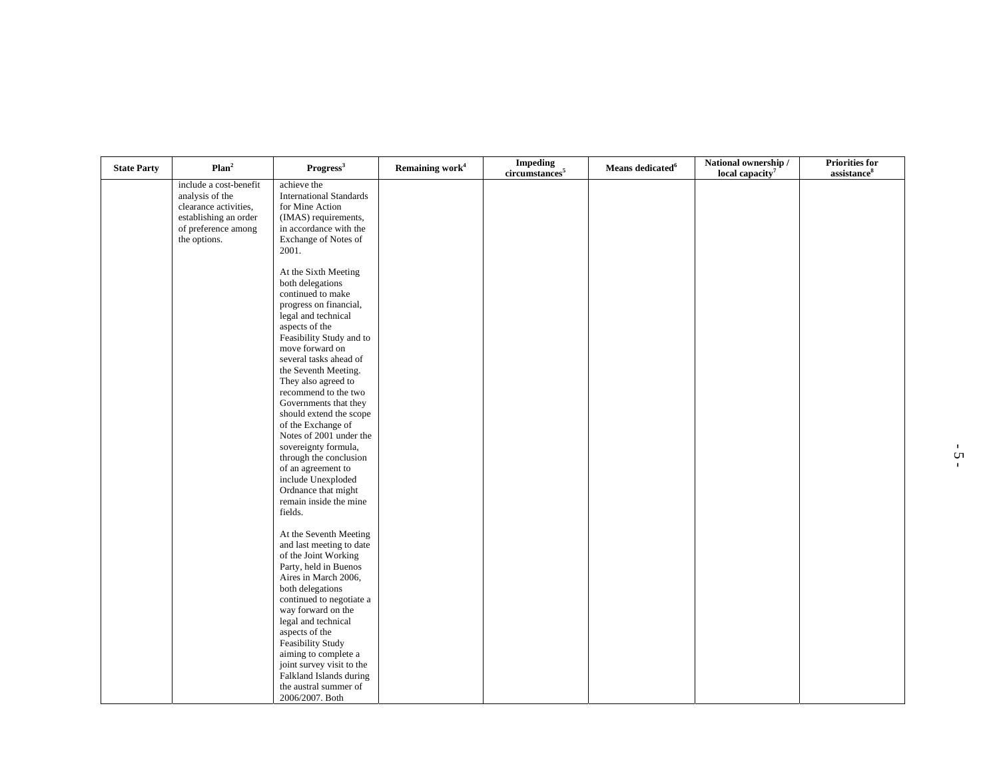| <b>State Party</b> | Plan <sup>2</sup>                                                                                                                  | Progress <sup>3</sup>                                                                                                                                                                                                                                                                                                                                                                                                                                                                                      | Remaining work <sup>4</sup> | <b>Impeding</b><br>circumstances <sup>5</sup> | Means dedicated <sup>6</sup> | National ownership /<br>local capacity <sup>7</sup> | <b>Priorities for</b><br>assistance <sup>8</sup> |
|--------------------|------------------------------------------------------------------------------------------------------------------------------------|------------------------------------------------------------------------------------------------------------------------------------------------------------------------------------------------------------------------------------------------------------------------------------------------------------------------------------------------------------------------------------------------------------------------------------------------------------------------------------------------------------|-----------------------------|-----------------------------------------------|------------------------------|-----------------------------------------------------|--------------------------------------------------|
|                    | include a cost-benefit<br>analysis of the<br>clearance activities,<br>establishing an order<br>of preference among<br>the options. | achieve the<br><b>International Standards</b><br>for Mine Action<br>(IMAS) requirements,<br>in accordance with the<br>Exchange of Notes of<br>2001.                                                                                                                                                                                                                                                                                                                                                        |                             |                                               |                              |                                                     |                                                  |
|                    |                                                                                                                                    | At the Sixth Meeting<br>both delegations<br>continued to make<br>progress on financial,<br>legal and technical<br>aspects of the<br>Feasibility Study and to<br>move forward on<br>several tasks ahead of<br>the Seventh Meeting.<br>They also agreed to<br>recommend to the two<br>Governments that they<br>should extend the scope<br>of the Exchange of<br>Notes of 2001 under the<br>sovereignty formula,<br>through the conclusion<br>of an agreement to<br>include Unexploded<br>Ordnance that might |                             |                                               |                              |                                                     |                                                  |
|                    |                                                                                                                                    | remain inside the mine<br>fields.<br>At the Seventh Meeting<br>and last meeting to date<br>of the Joint Working<br>Party, held in Buenos<br>Aires in March 2006,<br>both delegations<br>continued to negotiate a<br>way forward on the<br>legal and technical<br>aspects of the<br>Feasibility Study<br>aiming to complete a<br>joint survey visit to the<br>Falkland Islands during<br>the austral summer of<br>2006/2007. Both                                                                           |                             |                                               |                              |                                                     |                                                  |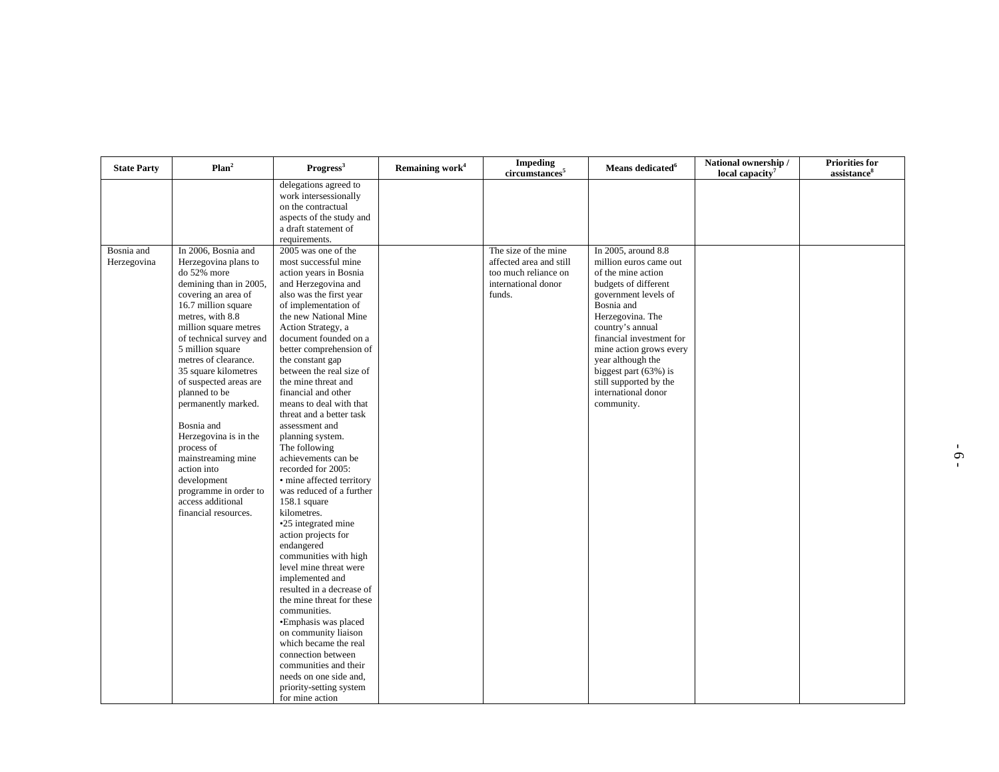| <b>State Party</b>        | Plan <sup>2</sup>                                                                                                                                                                                                                                                                                                                                                                                                                                                                | Progress <sup>3</sup>                                                                                                                                                                                                                                                                                                                                                                                                                                                                                                                                                                                                                                                                                                                                                                                                                                                                                                                           | Remaining work <sup>4</sup> | <b>Impeding</b><br>circumstances <sup>5</sup>         | Means dedicated <sup>6</sup>                                                                                                                                                                                                                                                                 | National ownership /<br>local capacity <sup>7</sup> | <b>Priorities for</b><br>assistance <sup>8</sup> |
|---------------------------|----------------------------------------------------------------------------------------------------------------------------------------------------------------------------------------------------------------------------------------------------------------------------------------------------------------------------------------------------------------------------------------------------------------------------------------------------------------------------------|-------------------------------------------------------------------------------------------------------------------------------------------------------------------------------------------------------------------------------------------------------------------------------------------------------------------------------------------------------------------------------------------------------------------------------------------------------------------------------------------------------------------------------------------------------------------------------------------------------------------------------------------------------------------------------------------------------------------------------------------------------------------------------------------------------------------------------------------------------------------------------------------------------------------------------------------------|-----------------------------|-------------------------------------------------------|----------------------------------------------------------------------------------------------------------------------------------------------------------------------------------------------------------------------------------------------------------------------------------------------|-----------------------------------------------------|--------------------------------------------------|
| Bosnia and<br>Herzegovina | In 2006, Bosnia and<br>Herzegovina plans to                                                                                                                                                                                                                                                                                                                                                                                                                                      | delegations agreed to<br>work intersessionally<br>on the contractual<br>aspects of the study and<br>a draft statement of<br>requirements.<br>2005 was one of the<br>most successful mine                                                                                                                                                                                                                                                                                                                                                                                                                                                                                                                                                                                                                                                                                                                                                        |                             | The size of the mine<br>affected area and still       | In 2005, around 8.8<br>million euros came out                                                                                                                                                                                                                                                |                                                     |                                                  |
|                           | do 52% more<br>demining than in 2005,<br>covering an area of<br>16.7 million square<br>metres, with 8.8<br>million square metres<br>of technical survey and<br>5 million square<br>metres of clearance.<br>35 square kilometres<br>of suspected areas are<br>planned to be<br>permanently marked.<br>Bosnia and<br>Herzegovina is in the<br>process of<br>mainstreaming mine<br>action into<br>development<br>programme in order to<br>access additional<br>financial resources. | action years in Bosnia<br>and Herzegovina and<br>also was the first year<br>of implementation of<br>the new National Mine<br>Action Strategy, a<br>document founded on a<br>better comprehension of<br>the constant gap<br>between the real size of<br>the mine threat and<br>financial and other<br>means to deal with that<br>threat and a better task<br>assessment and<br>planning system.<br>The following<br>achievements can be<br>recorded for 2005:<br>• mine affected territory<br>was reduced of a further<br>$158.1$ square<br>kilometres.<br>•25 integrated mine<br>action projects for<br>endangered<br>communities with high<br>level mine threat were<br>implemented and<br>resulted in a decrease of<br>the mine threat for these<br>communities.<br>•Emphasis was placed<br>on community liaison<br>which became the real<br>connection between<br>communities and their<br>needs on one side and,<br>priority-setting system |                             | too much reliance on<br>international donor<br>funds. | of the mine action<br>budgets of different<br>government levels of<br>Bosnia and<br>Herzegovina. The<br>country's annual<br>financial investment for<br>mine action grows every<br>year although the<br>biggest part (63%) is<br>still supported by the<br>international donor<br>community. |                                                     |                                                  |
|                           |                                                                                                                                                                                                                                                                                                                                                                                                                                                                                  | for mine action                                                                                                                                                                                                                                                                                                                                                                                                                                                                                                                                                                                                                                                                                                                                                                                                                                                                                                                                 |                             |                                                       |                                                                                                                                                                                                                                                                                              |                                                     |                                                  |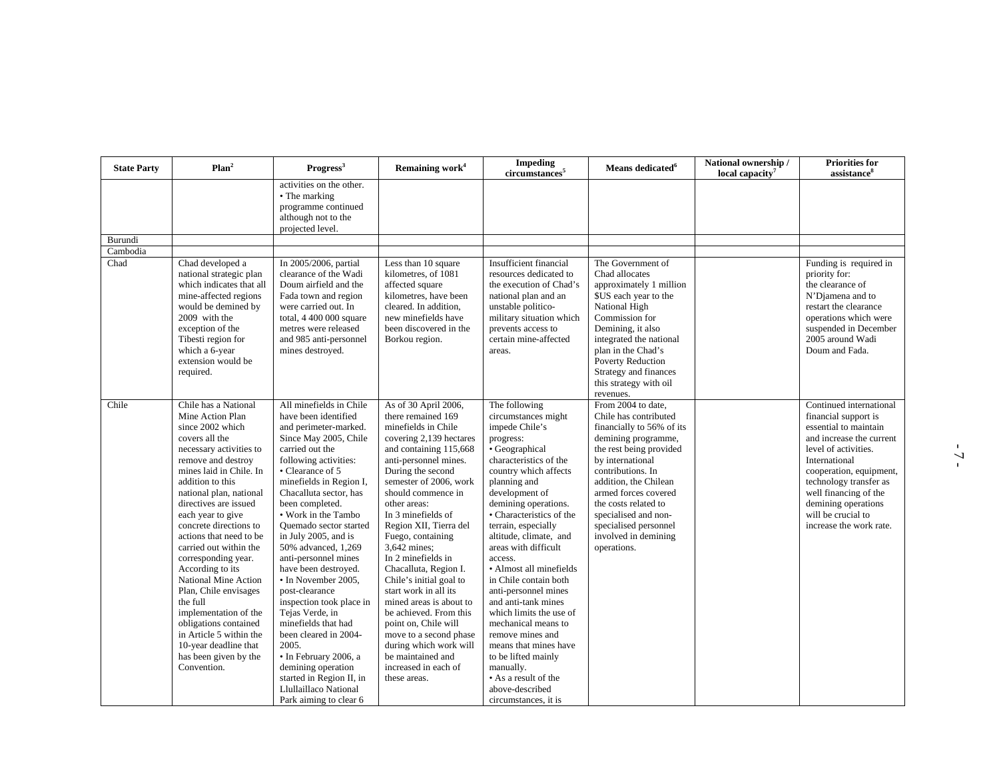| <b>State Party</b> | Plan <sup>2</sup>                                                                                                                                                                                                                                                                                                                                                                                                                                                                                                                                                                            | Progress <sup>3</sup>                                                                                                                                                                                                                                                                                                                                                                                                                                                                                                                                                                                                                                                           | Remaining work <sup>4</sup>                                                                                                                                                                                                                                                                                                                                                                                                                                                                                                                                                                                                | <b>Impeding</b><br>circumstances <sup>5</sup>                                                                                                                                                                                                                                                                                                                                                                                                                                                                                                                                                                               | Means dedicated <sup>6</sup>                                                                                                                                                                                                                                                                                                         | National ownership /<br>local capacity <sup>7</sup> | <b>Priorities for</b><br>assistance <sup>8</sup>                                                                                                                                                                                                                                                    |
|--------------------|----------------------------------------------------------------------------------------------------------------------------------------------------------------------------------------------------------------------------------------------------------------------------------------------------------------------------------------------------------------------------------------------------------------------------------------------------------------------------------------------------------------------------------------------------------------------------------------------|---------------------------------------------------------------------------------------------------------------------------------------------------------------------------------------------------------------------------------------------------------------------------------------------------------------------------------------------------------------------------------------------------------------------------------------------------------------------------------------------------------------------------------------------------------------------------------------------------------------------------------------------------------------------------------|----------------------------------------------------------------------------------------------------------------------------------------------------------------------------------------------------------------------------------------------------------------------------------------------------------------------------------------------------------------------------------------------------------------------------------------------------------------------------------------------------------------------------------------------------------------------------------------------------------------------------|-----------------------------------------------------------------------------------------------------------------------------------------------------------------------------------------------------------------------------------------------------------------------------------------------------------------------------------------------------------------------------------------------------------------------------------------------------------------------------------------------------------------------------------------------------------------------------------------------------------------------------|--------------------------------------------------------------------------------------------------------------------------------------------------------------------------------------------------------------------------------------------------------------------------------------------------------------------------------------|-----------------------------------------------------|-----------------------------------------------------------------------------------------------------------------------------------------------------------------------------------------------------------------------------------------------------------------------------------------------------|
|                    |                                                                                                                                                                                                                                                                                                                                                                                                                                                                                                                                                                                              | activities on the other.<br>• The marking<br>programme continued<br>although not to the<br>projected level.                                                                                                                                                                                                                                                                                                                                                                                                                                                                                                                                                                     |                                                                                                                                                                                                                                                                                                                                                                                                                                                                                                                                                                                                                            |                                                                                                                                                                                                                                                                                                                                                                                                                                                                                                                                                                                                                             |                                                                                                                                                                                                                                                                                                                                      |                                                     |                                                                                                                                                                                                                                                                                                     |
| Burundi            |                                                                                                                                                                                                                                                                                                                                                                                                                                                                                                                                                                                              |                                                                                                                                                                                                                                                                                                                                                                                                                                                                                                                                                                                                                                                                                 |                                                                                                                                                                                                                                                                                                                                                                                                                                                                                                                                                                                                                            |                                                                                                                                                                                                                                                                                                                                                                                                                                                                                                                                                                                                                             |                                                                                                                                                                                                                                                                                                                                      |                                                     |                                                                                                                                                                                                                                                                                                     |
| Cambodia           |                                                                                                                                                                                                                                                                                                                                                                                                                                                                                                                                                                                              |                                                                                                                                                                                                                                                                                                                                                                                                                                                                                                                                                                                                                                                                                 |                                                                                                                                                                                                                                                                                                                                                                                                                                                                                                                                                                                                                            |                                                                                                                                                                                                                                                                                                                                                                                                                                                                                                                                                                                                                             |                                                                                                                                                                                                                                                                                                                                      |                                                     |                                                                                                                                                                                                                                                                                                     |
| Chad               | Chad developed a<br>national strategic plan<br>which indicates that all<br>mine-affected regions<br>would be demined by<br>2009 with the<br>exception of the<br>Tibesti region for<br>which a 6-year<br>extension would be<br>required.                                                                                                                                                                                                                                                                                                                                                      | In 2005/2006, partial<br>clearance of the Wadi<br>Doum airfield and the<br>Fada town and region<br>were carried out. In<br>total, 4 400 000 square<br>metres were released<br>and 985 anti-personnel<br>mines destroyed.                                                                                                                                                                                                                                                                                                                                                                                                                                                        | Less than 10 square<br>kilometres, of 1081<br>affected square<br>kilometres, have been<br>cleared. In addition.<br>new minefields have<br>been discovered in the<br>Borkou region.                                                                                                                                                                                                                                                                                                                                                                                                                                         | Insufficient financial<br>resources dedicated to<br>the execution of Chad's<br>national plan and an<br>unstable politico-<br>military situation which<br>prevents access to<br>certain mine-affected<br>areas.                                                                                                                                                                                                                                                                                                                                                                                                              | The Government of<br>Chad allocates<br>approximately 1 million<br>\$US each year to the<br>National High<br>Commission for<br>Demining, it also<br>integrated the national<br>plan in the Chad's<br><b>Poverty Reduction</b><br>Strategy and finances<br>this strategy with oil<br>revenues.                                         |                                                     | Funding is required in<br>priority for:<br>the clearance of<br>N'Djamena and to<br>restart the clearance<br>operations which were<br>suspended in December<br>2005 around Wadi<br>Doum and Fada.                                                                                                    |
| Chile              | Chile has a National<br>Mine Action Plan<br>since 2002 which<br>covers all the<br>necessary activities to<br>remove and destroy<br>mines laid in Chile. In<br>addition to this<br>national plan, national<br>directives are issued<br>each year to give<br>concrete directions to<br>actions that need to be<br>carried out within the<br>corresponding year.<br>According to its<br>National Mine Action<br>Plan, Chile envisages<br>the full<br>implementation of the<br>obligations contained<br>in Article 5 within the<br>10-year deadline that<br>has been given by the<br>Convention. | All minefields in Chile<br>have been identified<br>and perimeter-marked.<br>Since May 2005, Chile<br>carried out the<br>following activities:<br>• Clearance of 5<br>minefields in Region I,<br>Chacalluta sector, has<br>been completed.<br>• Work in the Tambo<br><b>Ouemado</b> sector started<br>in July 2005, and is<br>50% advanced, 1,269<br>anti-personnel mines<br>have been destroyed.<br>• In November 2005,<br>post-clearance<br>inspection took place in<br>Tejas Verde, in<br>minefields that had<br>been cleared in 2004-<br>2005.<br>· In February 2006, a<br>demining operation<br>started in Region II, in<br>Llullaillaco National<br>Park aiming to clear 6 | As of 30 April 2006,<br>there remained 169<br>minefields in Chile<br>covering 2,139 hectares<br>and containing 115,668<br>anti-personnel mines.<br>During the second<br>semester of 2006, work<br>should commence in<br>other areas:<br>In 3 minefields of<br>Region XII, Tierra del<br>Fuego, containing<br>3,642 mines;<br>In 2 minefields in<br>Chacalluta, Region I.<br>Chile's initial goal to<br>start work in all its<br>mined areas is about to<br>be achieved. From this<br>point on, Chile will<br>move to a second phase<br>during which work will<br>be maintained and<br>increased in each of<br>these areas. | The following<br>circumstances might<br>impede Chile's<br>progress:<br>• Geographical<br>characteristics of the<br>country which affects<br>planning and<br>development of<br>demining operations.<br>• Characteristics of the<br>terrain, especially<br>altitude, climate, and<br>areas with difficult<br>access.<br>• Almost all minefields<br>in Chile contain both<br>anti-personnel mines<br>and anti-tank mines<br>which limits the use of<br>mechanical means to<br>remove mines and<br>means that mines have<br>to be lifted mainly<br>manually.<br>• As a result of the<br>above-described<br>circumstances, it is | From 2004 to date,<br>Chile has contributed<br>financially to 56% of its<br>demining programme,<br>the rest being provided<br>by international<br>contributions. In<br>addition, the Chilean<br>armed forces covered<br>the costs related to<br>specialised and non-<br>specialised personnel<br>involved in demining<br>operations. |                                                     | Continued international<br>financial support is<br>essential to maintain<br>and increase the current<br>level of activities.<br>International<br>cooperation, equipment,<br>technology transfer as<br>well financing of the<br>demining operations<br>will be crucial to<br>increase the work rate. |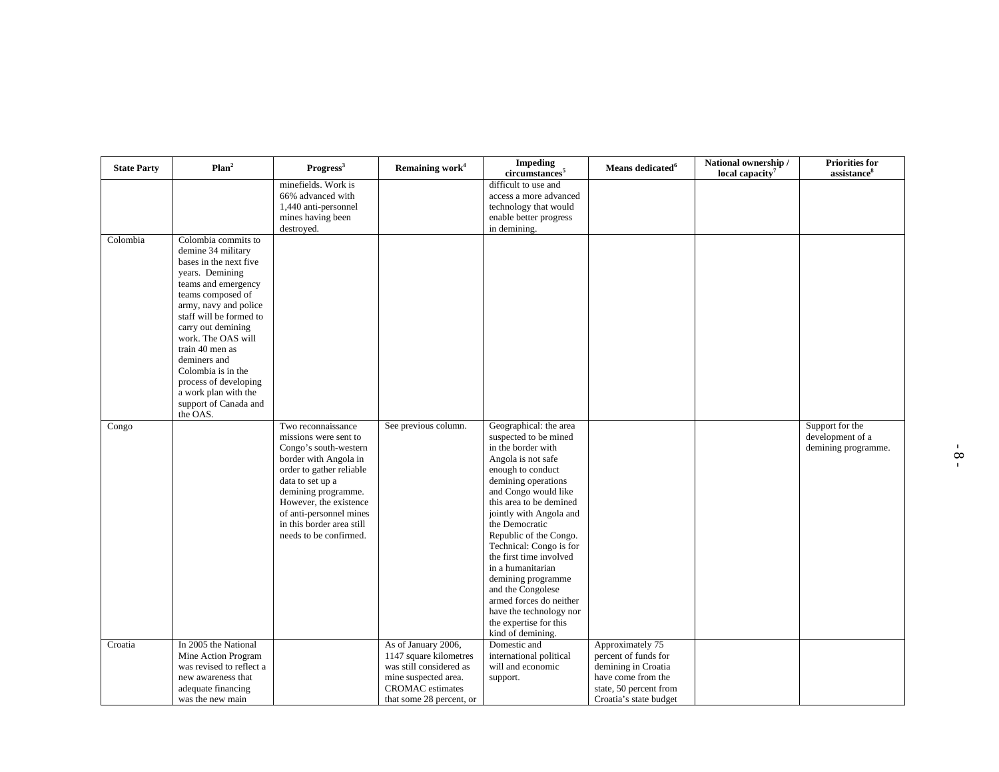| <b>State Party</b> | Plan <sup>2</sup>                                                                                                                                                                                                                                                                                                                                                                 | Progress <sup>3</sup>                                                                                                                                                                                                                                                            | Remaining work <sup>4</sup>                                                                                                                             | <b>Impeding</b><br>circumstances <sup>5</sup>                                                                                                                                                                                                                                                                                                                                                                                                                                                | Means dedicated $6$                                                                                                                       | National ownership /<br>local capacity <sup>7</sup> | <b>Priorities for</b><br>assistance <sup>8</sup>           |
|--------------------|-----------------------------------------------------------------------------------------------------------------------------------------------------------------------------------------------------------------------------------------------------------------------------------------------------------------------------------------------------------------------------------|----------------------------------------------------------------------------------------------------------------------------------------------------------------------------------------------------------------------------------------------------------------------------------|---------------------------------------------------------------------------------------------------------------------------------------------------------|----------------------------------------------------------------------------------------------------------------------------------------------------------------------------------------------------------------------------------------------------------------------------------------------------------------------------------------------------------------------------------------------------------------------------------------------------------------------------------------------|-------------------------------------------------------------------------------------------------------------------------------------------|-----------------------------------------------------|------------------------------------------------------------|
|                    |                                                                                                                                                                                                                                                                                                                                                                                   | minefields. Work is<br>66% advanced with<br>1,440 anti-personnel<br>mines having been<br>destroyed.                                                                                                                                                                              |                                                                                                                                                         | difficult to use and<br>access a more advanced<br>technology that would<br>enable better progress<br>in demining.                                                                                                                                                                                                                                                                                                                                                                            |                                                                                                                                           |                                                     |                                                            |
| Colombia           | Colombia commits to<br>demine 34 military<br>bases in the next five<br>years. Demining<br>teams and emergency<br>teams composed of<br>army, navy and police<br>staff will be formed to<br>carry out demining<br>work. The OAS will<br>train 40 men as<br>deminers and<br>Colombia is in the<br>process of developing<br>a work plan with the<br>support of Canada and<br>the OAS. |                                                                                                                                                                                                                                                                                  |                                                                                                                                                         |                                                                                                                                                                                                                                                                                                                                                                                                                                                                                              |                                                                                                                                           |                                                     |                                                            |
| Congo              |                                                                                                                                                                                                                                                                                                                                                                                   | Two reconnaissance<br>missions were sent to<br>Congo's south-western<br>border with Angola in<br>order to gather reliable<br>data to set up a<br>demining programme.<br>However, the existence<br>of anti-personnel mines<br>in this border area still<br>needs to be confirmed. | See previous column.                                                                                                                                    | Geographical: the area<br>suspected to be mined<br>in the border with<br>Angola is not safe<br>enough to conduct<br>demining operations<br>and Congo would like<br>this area to be demined<br>jointly with Angola and<br>the Democratic<br>Republic of the Congo.<br>Technical: Congo is for<br>the first time involved<br>in a humanitarian<br>demining programme<br>and the Congolese<br>armed forces do neither<br>have the technology nor<br>the expertise for this<br>kind of demining. |                                                                                                                                           |                                                     | Support for the<br>development of a<br>demining programme. |
| Croatia            | In 2005 the National<br>Mine Action Program<br>was revised to reflect a<br>new awareness that<br>adequate financing<br>was the new main                                                                                                                                                                                                                                           |                                                                                                                                                                                                                                                                                  | As of January 2006,<br>1147 square kilometres<br>was still considered as<br>mine suspected area.<br><b>CROMAC</b> estimates<br>that some 28 percent, or | Domestic and<br>international political<br>will and economic<br>support.                                                                                                                                                                                                                                                                                                                                                                                                                     | Approximately 75<br>percent of funds for<br>demining in Croatia<br>have come from the<br>state, 50 percent from<br>Croatia's state budget |                                                     |                                                            |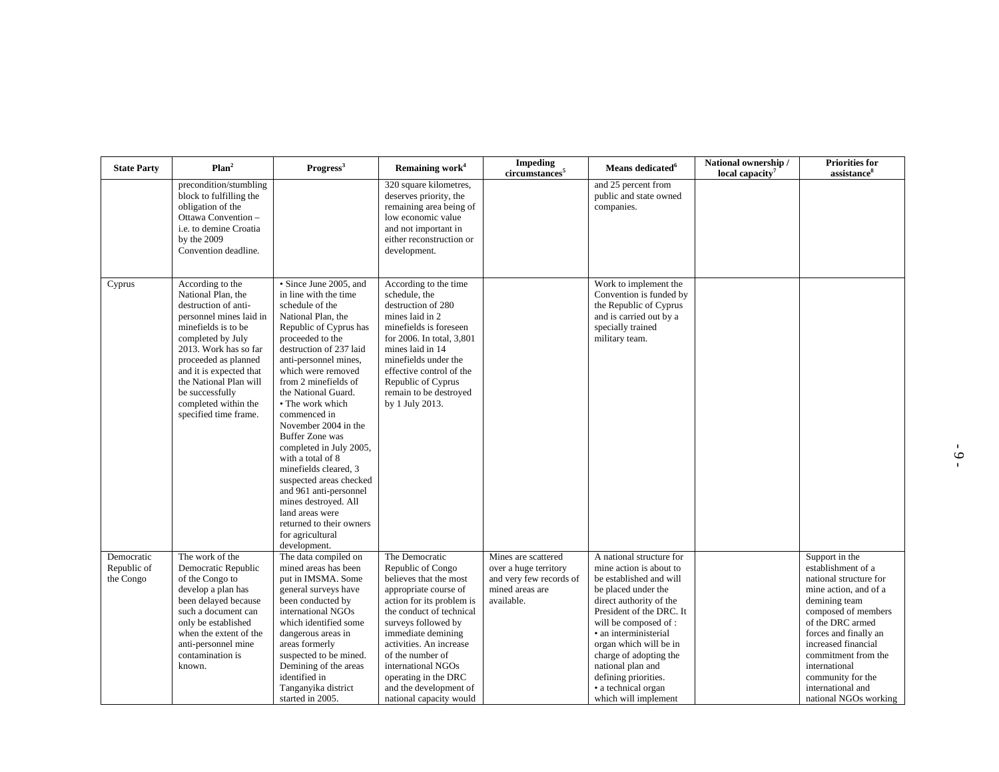| <b>State Party</b>                     | Plan <sup>2</sup>                                                                                                                                                                                                                                                                                               | Progress <sup>3</sup>                                                                                                                                                                                                                                                                                                                                                                                                                                                                                                                                                                          | Remaining work <sup>4</sup>                                                                                                                                                                                                                                                                                                                    | <b>Impeding</b><br>circumstances <sup>5</sup>                                                            | Means dedicated <sup>6</sup>                                                                                                                                                                                                                                                                                                                                  | National ownership /<br>local capacity <sup>7</sup> | <b>Priorities for</b><br>assistance <sup>8</sup>                                                                                                                                                                                                                                                               |
|----------------------------------------|-----------------------------------------------------------------------------------------------------------------------------------------------------------------------------------------------------------------------------------------------------------------------------------------------------------------|------------------------------------------------------------------------------------------------------------------------------------------------------------------------------------------------------------------------------------------------------------------------------------------------------------------------------------------------------------------------------------------------------------------------------------------------------------------------------------------------------------------------------------------------------------------------------------------------|------------------------------------------------------------------------------------------------------------------------------------------------------------------------------------------------------------------------------------------------------------------------------------------------------------------------------------------------|----------------------------------------------------------------------------------------------------------|---------------------------------------------------------------------------------------------------------------------------------------------------------------------------------------------------------------------------------------------------------------------------------------------------------------------------------------------------------------|-----------------------------------------------------|----------------------------------------------------------------------------------------------------------------------------------------------------------------------------------------------------------------------------------------------------------------------------------------------------------------|
|                                        | precondition/stumbling<br>block to fulfilling the<br>obligation of the<br>Ottawa Convention -<br>i.e. to demine Croatia<br>by the 2009<br>Convention deadline.                                                                                                                                                  |                                                                                                                                                                                                                                                                                                                                                                                                                                                                                                                                                                                                | 320 square kilometres,<br>deserves priority, the<br>remaining area being of<br>low economic value<br>and not important in<br>either reconstruction or<br>development.                                                                                                                                                                          |                                                                                                          | and 25 percent from<br>public and state owned<br>companies.                                                                                                                                                                                                                                                                                                   |                                                     |                                                                                                                                                                                                                                                                                                                |
| Cyprus                                 | According to the<br>National Plan, the<br>destruction of anti-<br>personnel mines laid in<br>minefields is to be<br>completed by July<br>2013. Work has so far<br>proceeded as planned<br>and it is expected that<br>the National Plan will<br>be successfully<br>completed within the<br>specified time frame. | • Since June 2005, and<br>in line with the time<br>schedule of the<br>National Plan, the<br>Republic of Cyprus has<br>proceeded to the<br>destruction of 237 laid<br>anti-personnel mines,<br>which were removed<br>from 2 minefields of<br>the National Guard.<br>• The work which<br>commenced in<br>November 2004 in the<br><b>Buffer Zone was</b><br>completed in July 2005,<br>with a total of 8<br>minefields cleared, 3<br>suspected areas checked<br>and 961 anti-personnel<br>mines destroyed. All<br>land areas were<br>returned to their owners<br>for agricultural<br>development. | According to the time<br>schedule, the<br>destruction of 280<br>mines laid in 2<br>minefields is foreseen<br>for 2006. In total, 3,801<br>mines laid in 14<br>minefields under the<br>effective control of the<br>Republic of Cyprus<br>remain to be destroyed<br>by 1 July 2013.                                                              |                                                                                                          | Work to implement the<br>Convention is funded by<br>the Republic of Cyprus<br>and is carried out by a<br>specially trained<br>military team.                                                                                                                                                                                                                  |                                                     |                                                                                                                                                                                                                                                                                                                |
| Democratic<br>Republic of<br>the Congo | The work of the<br>Democratic Republic<br>of the Congo to<br>develop a plan has<br>been delayed because<br>such a document can<br>only be established<br>when the extent of the<br>anti-personnel mine<br>contamination is<br>known.                                                                            | The data compiled on<br>mined areas has been<br>put in IMSMA. Some<br>general surveys have<br>been conducted by<br>international NGOs<br>which identified some<br>dangerous areas in<br>areas formerly<br>suspected to be mined.<br>Demining of the areas<br>identified in<br>Tanganyika district<br>started in 2005.                                                                                                                                                                                                                                                                          | The Democratic<br>Republic of Congo<br>believes that the most<br>appropriate course of<br>action for its problem is<br>the conduct of technical<br>surveys followed by<br>immediate demining<br>activities. An increase<br>of the number of<br>international NGOs<br>operating in the DRC<br>and the development of<br>national capacity would | Mines are scattered<br>over a huge territory<br>and very few records of<br>mined areas are<br>available. | A national structure for<br>mine action is about to<br>be established and will<br>be placed under the<br>direct authority of the<br>President of the DRC. It<br>will be composed of:<br>• an interministerial<br>organ which will be in<br>charge of adopting the<br>national plan and<br>defining priorities.<br>· a technical organ<br>which will implement |                                                     | Support in the<br>establishment of a<br>national structure for<br>mine action, and of a<br>demining team<br>composed of members<br>of the DRC armed<br>forces and finally an<br>increased financial<br>commitment from the<br>international<br>community for the<br>international and<br>national NGOs working |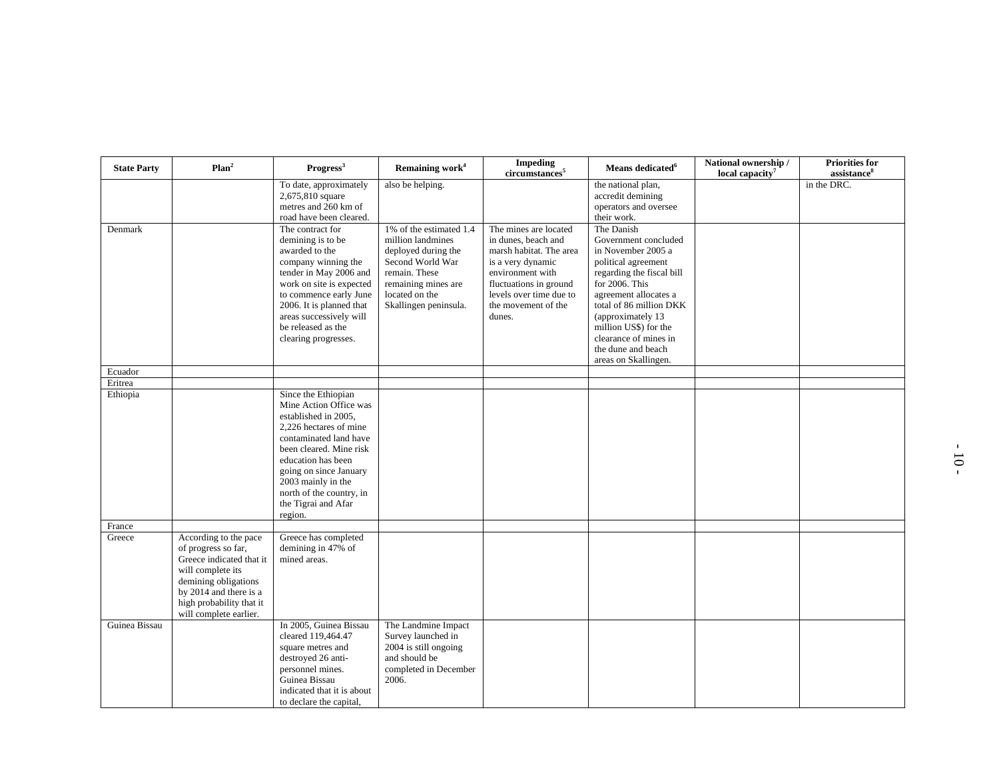| <b>State Party</b> | Plan <sup>2</sup>                                                                                                                                                                                     | Progress <sup>3</sup>                                                                                                                                                                                                                                                                    | Remaining work <sup>4</sup>                                                                                                                                                | <b>Impeding</b><br>circumstances <sup>5</sup>                                                                                                                                                          | Means dedicated <sup>6</sup>                                                                                                                                                                                                                                                                            | National ownership /<br>local capacity <sup>7</sup> | <b>Priorities for</b><br>assistance <sup>8</sup> |
|--------------------|-------------------------------------------------------------------------------------------------------------------------------------------------------------------------------------------------------|------------------------------------------------------------------------------------------------------------------------------------------------------------------------------------------------------------------------------------------------------------------------------------------|----------------------------------------------------------------------------------------------------------------------------------------------------------------------------|--------------------------------------------------------------------------------------------------------------------------------------------------------------------------------------------------------|---------------------------------------------------------------------------------------------------------------------------------------------------------------------------------------------------------------------------------------------------------------------------------------------------------|-----------------------------------------------------|--------------------------------------------------|
|                    |                                                                                                                                                                                                       | To date, approximately<br>2,675,810 square<br>metres and 260 km of<br>road have been cleared.                                                                                                                                                                                            | also be helping.                                                                                                                                                           |                                                                                                                                                                                                        | the national plan,<br>accredit demining<br>operators and oversee<br>their work.                                                                                                                                                                                                                         |                                                     | in the DRC.                                      |
| Denmark            |                                                                                                                                                                                                       | The contract for<br>demining is to be<br>awarded to the<br>company winning the<br>tender in May 2006 and<br>work on site is expected<br>to commence early June<br>2006. It is planned that<br>areas successively will<br>be released as the<br>clearing progresses.                      | 1% of the estimated 1.4<br>million landmines<br>deployed during the<br>Second World War<br>remain. These<br>remaining mines are<br>located on the<br>Skallingen peninsula. | The mines are located<br>in dunes, beach and<br>marsh habitat. The area<br>is a very dynamic<br>environment with<br>fluctuations in ground<br>levels over time due to<br>the movement of the<br>dunes. | The Danish<br>Government concluded<br>in November 2005 a<br>political agreement<br>regarding the fiscal bill<br>for 2006. This<br>agreement allocates a<br>total of 86 million DKK<br>(approximately 13<br>million US\$) for the<br>clearance of mines in<br>the dune and beach<br>areas on Skallingen. |                                                     |                                                  |
| Ecuador            |                                                                                                                                                                                                       |                                                                                                                                                                                                                                                                                          |                                                                                                                                                                            |                                                                                                                                                                                                        |                                                                                                                                                                                                                                                                                                         |                                                     |                                                  |
| Eritrea            |                                                                                                                                                                                                       |                                                                                                                                                                                                                                                                                          |                                                                                                                                                                            |                                                                                                                                                                                                        |                                                                                                                                                                                                                                                                                                         |                                                     |                                                  |
| Ethiopia           |                                                                                                                                                                                                       | Since the Ethiopian<br>Mine Action Office was<br>established in 2005,<br>2.226 hectares of mine<br>contaminated land have<br>been cleared. Mine risk<br>education has been<br>going on since January<br>2003 mainly in the<br>north of the country, in<br>the Tigrai and Afar<br>region. |                                                                                                                                                                            |                                                                                                                                                                                                        |                                                                                                                                                                                                                                                                                                         |                                                     |                                                  |
| France             |                                                                                                                                                                                                       |                                                                                                                                                                                                                                                                                          |                                                                                                                                                                            |                                                                                                                                                                                                        |                                                                                                                                                                                                                                                                                                         |                                                     |                                                  |
| Greece             | According to the pace<br>of progress so far,<br>Greece indicated that it<br>will complete its<br>demining obligations<br>by 2014 and there is a<br>high probability that it<br>will complete earlier. | Greece has completed<br>demining in 47% of<br>mined areas.                                                                                                                                                                                                                               |                                                                                                                                                                            |                                                                                                                                                                                                        |                                                                                                                                                                                                                                                                                                         |                                                     |                                                  |
| Guinea Bissau      |                                                                                                                                                                                                       | In 2005, Guinea Bissau<br>cleared 119,464.47<br>square metres and<br>destroyed 26 anti-<br>personnel mines.<br>Guinea Bissau<br>indicated that it is about<br>to declare the capital,                                                                                                    | The Landmine Impact<br>Survey launched in<br>2004 is still ongoing<br>and should be<br>completed in December<br>2006.                                                      |                                                                                                                                                                                                        |                                                                                                                                                                                                                                                                                                         |                                                     |                                                  |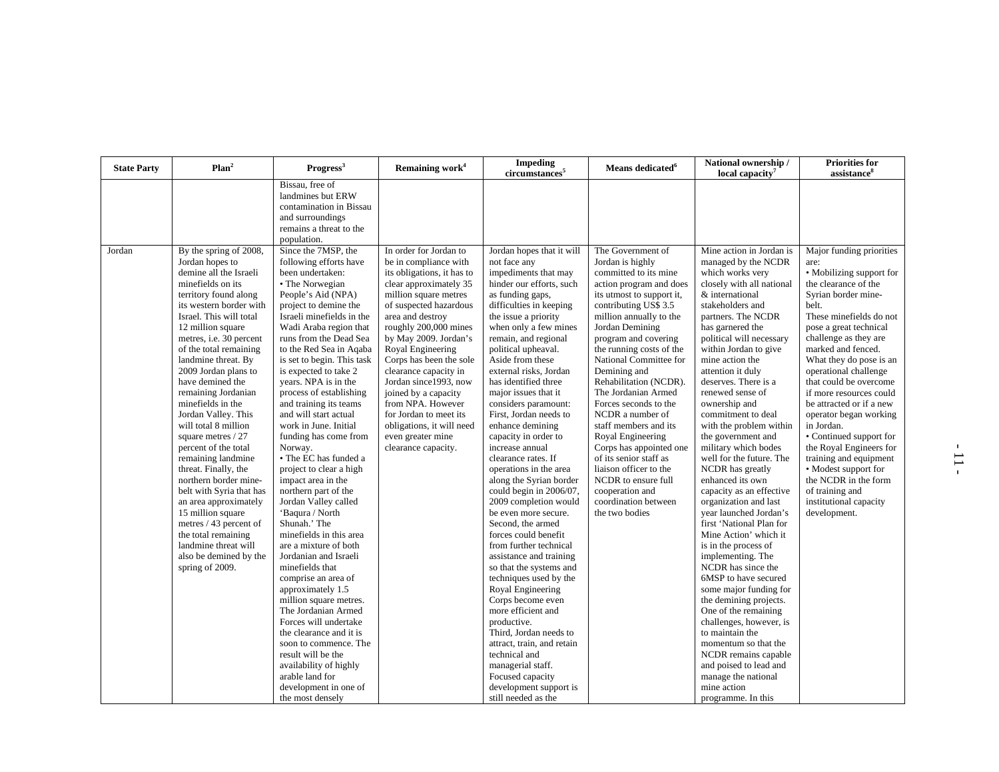| <b>State Party</b> | Plan <sup>2</sup>                                                                                                                                                                                                                                                                                                                                                                                                                                                                                                                                                                                                                                                                                          | Progress <sup>3</sup>                                                                                                                                                                                                                                                                                                                                                                                                                                                                                                                                                                                                                                                                                                                                                                                                                                                                                                                                                                                     | Remaining work <sup>4</sup>                                                                                                                                                                                                                                                                                                                                                                                                                              | <b>Impeding</b><br>circumstances <sup>5</sup>                                                                                                                                                                                                                                                                                                                                                                                                                                                                                                                                                                                                                                                                                                                                                                                                                                                                                                                                                   | Means dedicated <sup>6</sup>                                                                                                                                                                                                                                                                                                                                                                                                                                                                                                                                                          | National ownership /<br>local capacity <sup>7</sup>                                                                                                                                                                                                                                                                                                                                                                                                                                                                                                                                                                                                                                                                                                                                                                                                                                                                                                                               | <b>Priorities for</b><br>assistance <sup>8</sup>                                                                                                                                                                                                                                                                                                                                                                                                                                                                                                                       |
|--------------------|------------------------------------------------------------------------------------------------------------------------------------------------------------------------------------------------------------------------------------------------------------------------------------------------------------------------------------------------------------------------------------------------------------------------------------------------------------------------------------------------------------------------------------------------------------------------------------------------------------------------------------------------------------------------------------------------------------|-----------------------------------------------------------------------------------------------------------------------------------------------------------------------------------------------------------------------------------------------------------------------------------------------------------------------------------------------------------------------------------------------------------------------------------------------------------------------------------------------------------------------------------------------------------------------------------------------------------------------------------------------------------------------------------------------------------------------------------------------------------------------------------------------------------------------------------------------------------------------------------------------------------------------------------------------------------------------------------------------------------|----------------------------------------------------------------------------------------------------------------------------------------------------------------------------------------------------------------------------------------------------------------------------------------------------------------------------------------------------------------------------------------------------------------------------------------------------------|-------------------------------------------------------------------------------------------------------------------------------------------------------------------------------------------------------------------------------------------------------------------------------------------------------------------------------------------------------------------------------------------------------------------------------------------------------------------------------------------------------------------------------------------------------------------------------------------------------------------------------------------------------------------------------------------------------------------------------------------------------------------------------------------------------------------------------------------------------------------------------------------------------------------------------------------------------------------------------------------------|---------------------------------------------------------------------------------------------------------------------------------------------------------------------------------------------------------------------------------------------------------------------------------------------------------------------------------------------------------------------------------------------------------------------------------------------------------------------------------------------------------------------------------------------------------------------------------------|-----------------------------------------------------------------------------------------------------------------------------------------------------------------------------------------------------------------------------------------------------------------------------------------------------------------------------------------------------------------------------------------------------------------------------------------------------------------------------------------------------------------------------------------------------------------------------------------------------------------------------------------------------------------------------------------------------------------------------------------------------------------------------------------------------------------------------------------------------------------------------------------------------------------------------------------------------------------------------------|------------------------------------------------------------------------------------------------------------------------------------------------------------------------------------------------------------------------------------------------------------------------------------------------------------------------------------------------------------------------------------------------------------------------------------------------------------------------------------------------------------------------------------------------------------------------|
| Jordan             | By the spring of 2008,                                                                                                                                                                                                                                                                                                                                                                                                                                                                                                                                                                                                                                                                                     | Bissau, free of<br>landmines but ERW<br>contamination in Bissau<br>and surroundings<br>remains a threat to the<br>population.<br>Since the 7MSP, the                                                                                                                                                                                                                                                                                                                                                                                                                                                                                                                                                                                                                                                                                                                                                                                                                                                      | In order for Jordan to                                                                                                                                                                                                                                                                                                                                                                                                                                   | Jordan hopes that it will                                                                                                                                                                                                                                                                                                                                                                                                                                                                                                                                                                                                                                                                                                                                                                                                                                                                                                                                                                       | The Government of                                                                                                                                                                                                                                                                                                                                                                                                                                                                                                                                                                     | Mine action in Jordan is                                                                                                                                                                                                                                                                                                                                                                                                                                                                                                                                                                                                                                                                                                                                                                                                                                                                                                                                                          | Major funding priorities                                                                                                                                                                                                                                                                                                                                                                                                                                                                                                                                               |
|                    | Jordan hopes to<br>demine all the Israeli<br>minefields on its<br>territory found along<br>its western border with<br>Israel. This will total<br>12 million square<br>metres, i.e. 30 percent<br>of the total remaining<br>landmine threat. By<br>2009 Jordan plans to<br>have demined the<br>remaining Jordanian<br>minefields in the<br>Jordan Valley. This<br>will total 8 million<br>square metres / 27<br>percent of the total<br>remaining landmine<br>threat. Finally, the<br>northern border mine-<br>belt with Syria that has<br>an area approximately<br>15 million square<br>metres / 43 percent of<br>the total remaining<br>landmine threat will<br>also be demined by the<br>spring of 2009. | following efforts have<br>been undertaken:<br>• The Norwegian<br>People's Aid (NPA)<br>project to demine the<br>Israeli minefields in the<br>Wadi Araba region that<br>runs from the Dead Sea<br>to the Red Sea in Aqaba<br>is set to begin. This task<br>is expected to take 2<br>years. NPA is in the<br>process of establishing<br>and training its teams<br>and will start actual<br>work in June. Initial<br>funding has come from<br>Norway.<br>• The EC has funded a<br>project to clear a high<br>impact area in the<br>northern part of the<br>Jordan Valley called<br>'Baqura / North<br>Shunah.' The<br>minefields in this area<br>are a mixture of both<br>Jordanian and Israeli<br>minefields that<br>comprise an area of<br>approximately 1.5<br>million square metres.<br>The Jordanian Armed<br>Forces will undertake<br>the clearance and it is<br>soon to commence. The<br>result will be the<br>availability of highly<br>arable land for<br>development in one of<br>the most densely | be in compliance with<br>its obligations, it has to<br>clear approximately 35<br>million square metres<br>of suspected hazardous<br>area and destroy<br>roughly 200,000 mines<br>by May 2009. Jordan's<br>Royal Engineering<br>Corps has been the sole<br>clearance capacity in<br>Jordan since1993, now<br>joined by a capacity<br>from NPA. However<br>for Jordan to meet its<br>obligations, it will need<br>even greater mine<br>clearance capacity. | not face any<br>impediments that may<br>hinder our efforts, such<br>as funding gaps,<br>difficulties in keeping<br>the issue a priority<br>when only a few mines<br>remain, and regional<br>political upheaval.<br>Aside from these<br>external risks, Jordan<br>has identified three<br>major issues that it<br>considers paramount:<br>First, Jordan needs to<br>enhance demining<br>capacity in order to<br>increase annual<br>clearance rates. If<br>operations in the area<br>along the Syrian border<br>could begin in 2006/07,<br>2009 completion would<br>be even more secure.<br>Second, the armed<br>forces could benefit<br>from further technical<br>assistance and training<br>so that the systems and<br>techniques used by the<br>Royal Engineering<br>Corps become even<br>more efficient and<br>productive.<br>Third. Jordan needs to<br>attract, train, and retain<br>technical and<br>managerial staff.<br>Focused capacity<br>development support is<br>still needed as the | Jordan is highly<br>committed to its mine<br>action program and does<br>its utmost to support it,<br>contributing US\$ 3.5<br>million annually to the<br>Jordan Demining<br>program and covering<br>the running costs of the<br>National Committee for<br>Demining and<br>Rehabilitation (NCDR).<br>The Jordanian Armed<br>Forces seconds to the<br>NCDR a number of<br>staff members and its<br>Royal Engineering<br>Corps has appointed one<br>of its senior staff as<br>liaison officer to the<br>NCDR to ensure full<br>cooperation and<br>coordination between<br>the two bodies | managed by the NCDR<br>which works very<br>closely with all national<br>& international<br>stakeholders and<br>partners. The NCDR<br>has garnered the<br>political will necessary<br>within Jordan to give<br>mine action the<br>attention it duly<br>deserves. There is a<br>renewed sense of<br>ownership and<br>commitment to deal<br>with the problem within<br>the government and<br>military which bodes<br>well for the future. The<br>NCDR has greatly<br>enhanced its own<br>capacity as an effective<br>organization and last<br>year launched Jordan's<br>first 'National Plan for<br>Mine Action' which it<br>is in the process of<br>implementing. The<br>NCDR has since the<br>6MSP to have secured<br>some major funding for<br>the demining projects.<br>One of the remaining<br>challenges, however, is<br>to maintain the<br>momentum so that the<br>NCDR remains capable<br>and poised to lead and<br>manage the national<br>mine action<br>programme. In this | are:<br>• Mobilizing support for<br>the clearance of the<br>Syrian border mine-<br>belt.<br>These minefields do not<br>pose a great technical<br>challenge as they are<br>marked and fenced.<br>What they do pose is an<br>operational challenge<br>that could be overcome<br>if more resources could<br>be attracted or if a new<br>operator began working<br>in Jordan.<br>• Continued support for<br>the Royal Engineers for<br>training and equipment<br>• Modest support for<br>the NCDR in the form<br>of training and<br>institutional capacity<br>development. |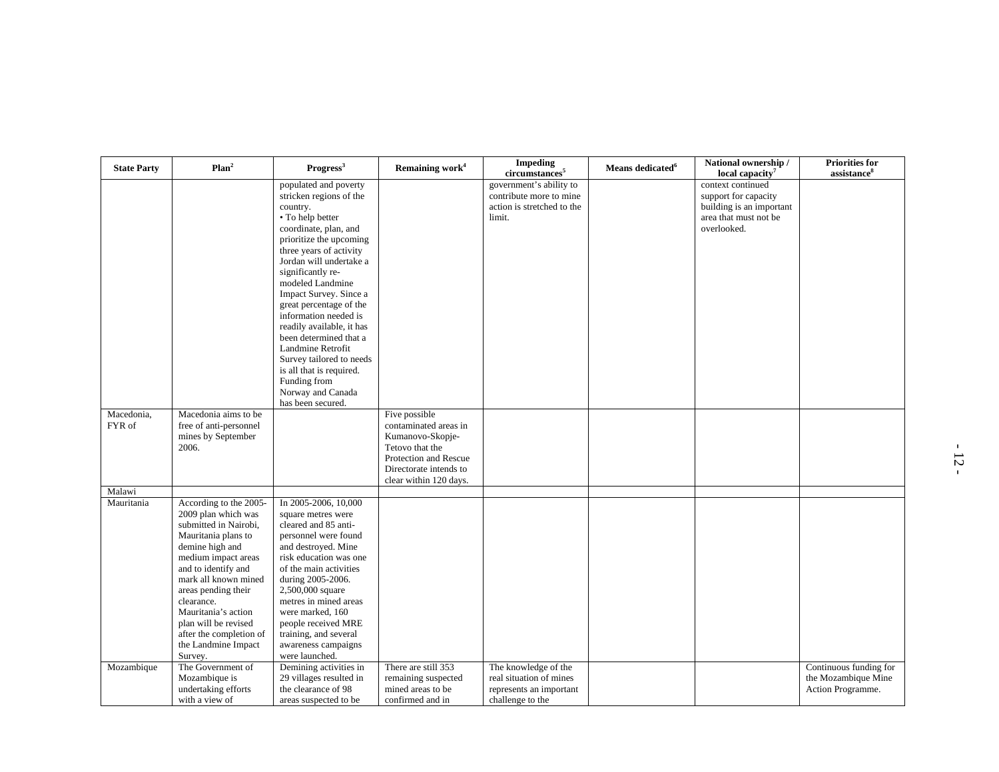| <b>State Party</b>   | Plan <sup>2</sup>                                                                                                                                                                                                                                                                                                                       | Progress <sup>3</sup>                                                                                                                                                                                                                                                                                                                                                                                                                                                                                           | Remaining work <sup>4</sup>                                                                                                                                | <b>Impeding</b><br>circumstances <sup>5</sup>                                                  | Means dedicated <sup>6</sup> | National ownership /<br>local capacity <sup>7</sup>                                                           | <b>Priorities for</b><br>assistance <sup>8</sup>                   |
|----------------------|-----------------------------------------------------------------------------------------------------------------------------------------------------------------------------------------------------------------------------------------------------------------------------------------------------------------------------------------|-----------------------------------------------------------------------------------------------------------------------------------------------------------------------------------------------------------------------------------------------------------------------------------------------------------------------------------------------------------------------------------------------------------------------------------------------------------------------------------------------------------------|------------------------------------------------------------------------------------------------------------------------------------------------------------|------------------------------------------------------------------------------------------------|------------------------------|---------------------------------------------------------------------------------------------------------------|--------------------------------------------------------------------|
|                      |                                                                                                                                                                                                                                                                                                                                         | populated and poverty<br>stricken regions of the<br>country.<br>• To help better<br>coordinate, plan, and<br>prioritize the upcoming<br>three years of activity<br>Jordan will undertake a<br>significantly re-<br>modeled Landmine<br>Impact Survey. Since a<br>great percentage of the<br>information needed is<br>readily available, it has<br>been determined that a<br>Landmine Retrofit<br>Survey tailored to needs<br>is all that is required.<br>Funding from<br>Norway and Canada<br>has been secured. |                                                                                                                                                            | government's ability to<br>contribute more to mine<br>action is stretched to the<br>limit.     |                              | context continued<br>support for capacity<br>building is an important<br>area that must not be<br>overlooked. |                                                                    |
| Macedonia,<br>FYR of | Macedonia aims to be<br>free of anti-personnel<br>mines by September<br>2006.                                                                                                                                                                                                                                                           |                                                                                                                                                                                                                                                                                                                                                                                                                                                                                                                 | Five possible<br>contaminated areas in<br>Kumanovo-Skopje-<br>Tetovo that the<br>Protection and Rescue<br>Directorate intends to<br>clear within 120 days. |                                                                                                |                              |                                                                                                               |                                                                    |
| Malawi               |                                                                                                                                                                                                                                                                                                                                         |                                                                                                                                                                                                                                                                                                                                                                                                                                                                                                                 |                                                                                                                                                            |                                                                                                |                              |                                                                                                               |                                                                    |
| Mauritania           | According to the 2005-<br>2009 plan which was<br>submitted in Nairobi,<br>Mauritania plans to<br>demine high and<br>medium impact areas<br>and to identify and<br>mark all known mined<br>areas pending their<br>clearance.<br>Mauritania's action<br>plan will be revised<br>after the completion of<br>the Landmine Impact<br>Survey. | In 2005-2006, 10,000<br>square metres were<br>cleared and 85 anti-<br>personnel were found<br>and destroyed. Mine<br>risk education was one<br>of the main activities<br>during 2005-2006.<br>2,500,000 square<br>metres in mined areas<br>were marked, 160<br>people received MRE<br>training, and several<br>awareness campaigns<br>were launched.                                                                                                                                                            |                                                                                                                                                            |                                                                                                |                              |                                                                                                               |                                                                    |
| Mozambique           | The Government of<br>Mozambique is<br>undertaking efforts<br>with a view of                                                                                                                                                                                                                                                             | Demining activities in<br>29 villages resulted in<br>the clearance of 98<br>areas suspected to be                                                                                                                                                                                                                                                                                                                                                                                                               | There are still 353<br>remaining suspected<br>mined areas to be<br>confirmed and in                                                                        | The knowledge of the<br>real situation of mines<br>represents an important<br>challenge to the |                              |                                                                                                               | Continuous funding for<br>the Mozambique Mine<br>Action Programme. |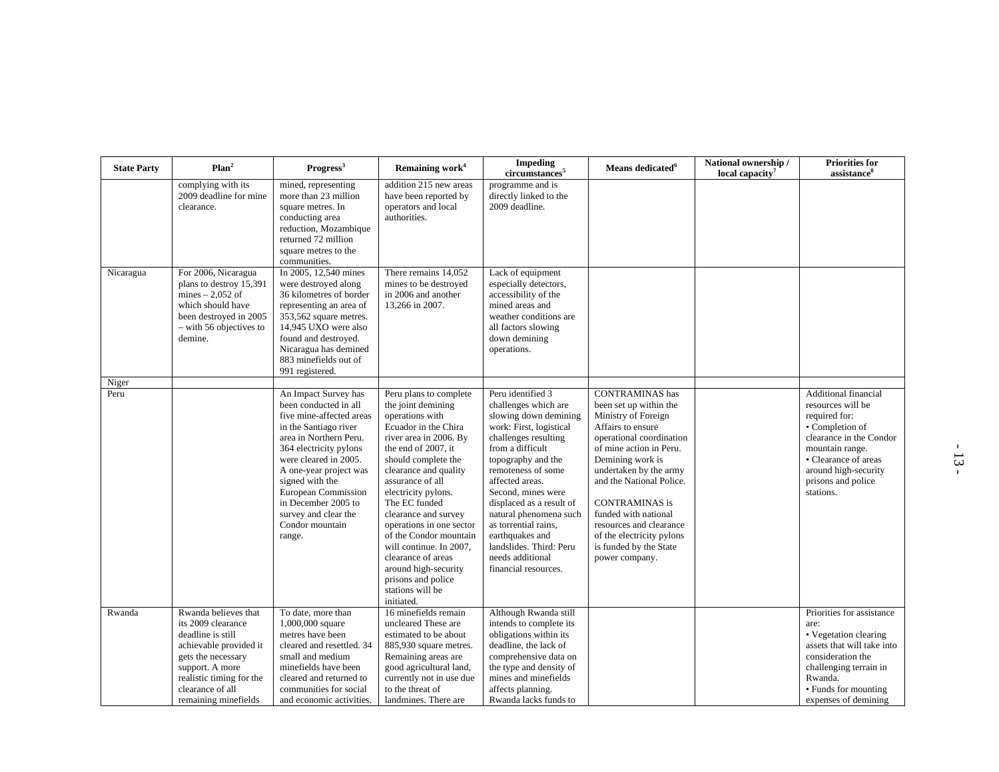| <b>State Party</b> | Plan <sup>2</sup>                                                                                                                                                                                          | Progress <sup>3</sup>                                                                                                                                                                                                                                                                                                           | Remaining work <sup>4</sup>                                                                                                                                                                                                                                                                                                                                                                                                                                         | <b>Impeding</b><br>circumstances <sup>5</sup>                                                                                                                                                                                                                                                                                                                                                          | Means dedicated <sup>6</sup>                                                                                                                                                                                                                                                                                                                                                       | National ownership /<br>local capacity <sup>7</sup> | <b>Priorities for</b><br>assistance <sup>8</sup>                                                                                                                                                               |
|--------------------|------------------------------------------------------------------------------------------------------------------------------------------------------------------------------------------------------------|---------------------------------------------------------------------------------------------------------------------------------------------------------------------------------------------------------------------------------------------------------------------------------------------------------------------------------|---------------------------------------------------------------------------------------------------------------------------------------------------------------------------------------------------------------------------------------------------------------------------------------------------------------------------------------------------------------------------------------------------------------------------------------------------------------------|--------------------------------------------------------------------------------------------------------------------------------------------------------------------------------------------------------------------------------------------------------------------------------------------------------------------------------------------------------------------------------------------------------|------------------------------------------------------------------------------------------------------------------------------------------------------------------------------------------------------------------------------------------------------------------------------------------------------------------------------------------------------------------------------------|-----------------------------------------------------|----------------------------------------------------------------------------------------------------------------------------------------------------------------------------------------------------------------|
|                    | complying with its<br>2009 deadline for mine<br>clearance.                                                                                                                                                 | mined, representing<br>more than 23 million<br>square metres. In<br>conducting area<br>reduction, Mozambique<br>returned 72 million<br>square metres to the<br>communities.                                                                                                                                                     | addition 215 new areas<br>have been reported by<br>operators and local<br>authorities.                                                                                                                                                                                                                                                                                                                                                                              | programme and is<br>directly linked to the<br>2009 deadline.                                                                                                                                                                                                                                                                                                                                           |                                                                                                                                                                                                                                                                                                                                                                                    |                                                     |                                                                                                                                                                                                                |
| Nicaragua          | For 2006, Nicaragua<br>plans to destroy 15,391<br>mines $-2,052$ of<br>which should have<br>been destroyed in 2005<br>- with 56 objectives to<br>demine.                                                   | In 2005, 12,540 mines<br>were destroyed along<br>36 kilometres of border<br>representing an area of<br>353,562 square metres.<br>14,945 UXO were also<br>found and destroyed.<br>Nicaragua has demined<br>883 minefields out of<br>991 registered.                                                                              | There remains 14,052<br>mines to be destroyed<br>in 2006 and another<br>13,266 in 2007.                                                                                                                                                                                                                                                                                                                                                                             | Lack of equipment<br>especially detectors,<br>accessibility of the<br>mined areas and<br>weather conditions are<br>all factors slowing<br>down demining<br>operations.                                                                                                                                                                                                                                 |                                                                                                                                                                                                                                                                                                                                                                                    |                                                     |                                                                                                                                                                                                                |
| Niger              |                                                                                                                                                                                                            |                                                                                                                                                                                                                                                                                                                                 |                                                                                                                                                                                                                                                                                                                                                                                                                                                                     |                                                                                                                                                                                                                                                                                                                                                                                                        |                                                                                                                                                                                                                                                                                                                                                                                    |                                                     |                                                                                                                                                                                                                |
| Peru               |                                                                                                                                                                                                            | An Impact Survey has<br>been conducted in all<br>five mine-affected areas<br>in the Santiago river<br>area in Northern Peru.<br>364 electricity pylons<br>were cleared in 2005.<br>A one-year project was<br>signed with the<br>European Commission<br>in December 2005 to<br>survey and clear the<br>Condor mountain<br>range. | Peru plans to complete<br>the joint demining<br>operations with<br>Ecuador in the Chira<br>river area in 2006. By<br>the end of 2007, it<br>should complete the<br>clearance and quality<br>assurance of all<br>electricity pylons.<br>The EC funded<br>clearance and survey<br>operations in one sector<br>of the Condor mountain<br>will continue. In 2007,<br>clearance of areas<br>around high-security<br>prisons and police<br>stations will be<br>initiated. | Peru identified 3<br>challenges which are<br>slowing down demining<br>work: First, logistical<br>challenges resulting<br>from a difficult<br>topography and the<br>remoteness of some<br>affected areas.<br>Second, mines were<br>displaced as a result of<br>natural phenomena such<br>as torrential rains,<br>earthquakes and<br>landslides. Third: Peru<br>needs additional<br>financial resources. | <b>CONTRAMINAS</b> has<br>been set up within the<br>Ministry of Foreign<br>Affairs to ensure<br>operational coordination<br>of mine action in Peru.<br>Demining work is<br>undertaken by the army<br>and the National Police.<br><b>CONTRAMINAS</b> is<br>funded with national<br>resources and clearance<br>of the electricity pylons<br>is funded by the State<br>power company. |                                                     | Additional financial<br>resources will be<br>required for:<br>• Completion of<br>clearance in the Condor<br>mountain range.<br>• Clearance of areas<br>around high-security<br>prisons and police<br>stations. |
| Rwanda             | Rwanda believes that<br>its 2009 clearance<br>deadline is still<br>achievable provided it<br>gets the necessary<br>support. A more<br>realistic timing for the<br>clearance of all<br>remaining minefields | To date, more than<br>1,000,000 square<br>metres have been<br>cleared and resettled. 34<br>small and medium<br>minefields have been<br>cleared and returned to<br>communities for social<br>and economic activities.                                                                                                            | 16 minefields remain<br>uncleared These are<br>estimated to be about<br>885,930 square metres.<br>Remaining areas are<br>good agricultural land,<br>currently not in use due<br>to the threat of<br>landmines. There are                                                                                                                                                                                                                                            | Although Rwanda still<br>intends to complete its<br>obligations within its<br>deadline, the lack of<br>comprehensive data on<br>the type and density of<br>mines and minefields<br>affects planning.<br>Rwanda lacks funds to                                                                                                                                                                          |                                                                                                                                                                                                                                                                                                                                                                                    |                                                     | Priorities for assistance<br>are:<br>• Vegetation clearing<br>assets that will take into<br>consideration the<br>challenging terrain in<br>Rwanda.<br>• Funds for mounting<br>expenses of demining             |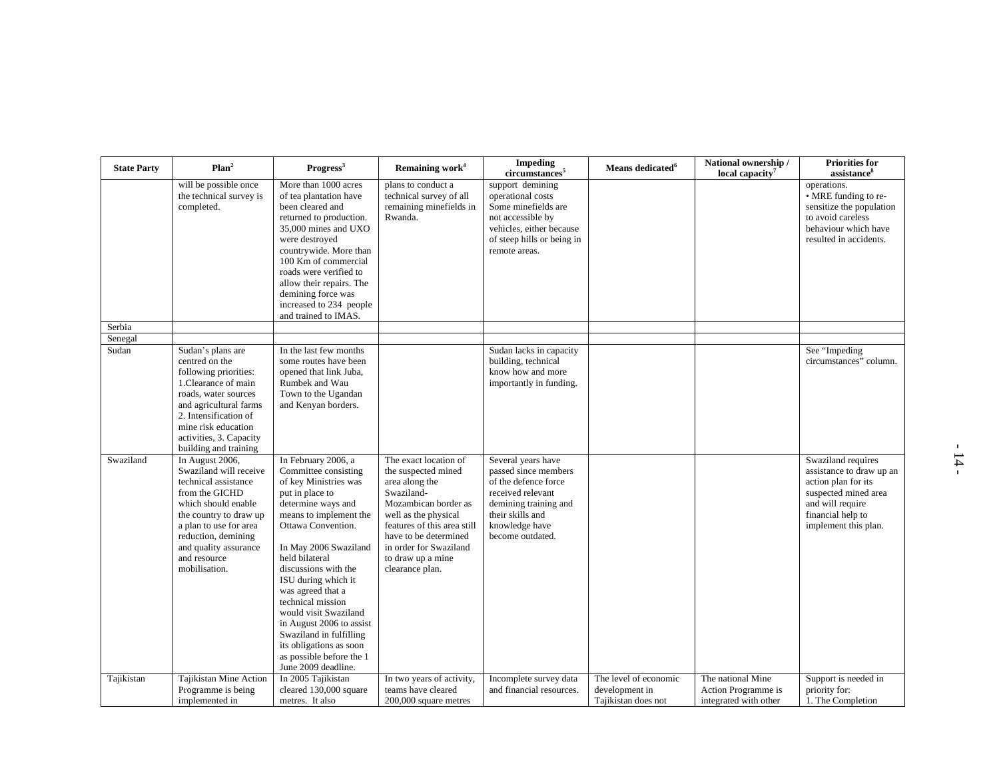| <b>State Party</b> | Plan <sup>2</sup>                                                                                                                                                                                                                               | Progress <sup>3</sup>                                                                                                                                                                                                                                                                                                                                                                                                                                           | Remaining work <sup>4</sup>                                                                                                                                                                                                                            | <b>Impeding</b><br>circumstances <sup>5</sup>                                                                                                                              | Means dedicated <sup>6</sup>                                   | National ownership /<br>local capacity <sup>7</sup>               | <b>Priorities for</b><br>assistance <sup>8</sup>                                                                                                               |
|--------------------|-------------------------------------------------------------------------------------------------------------------------------------------------------------------------------------------------------------------------------------------------|-----------------------------------------------------------------------------------------------------------------------------------------------------------------------------------------------------------------------------------------------------------------------------------------------------------------------------------------------------------------------------------------------------------------------------------------------------------------|--------------------------------------------------------------------------------------------------------------------------------------------------------------------------------------------------------------------------------------------------------|----------------------------------------------------------------------------------------------------------------------------------------------------------------------------|----------------------------------------------------------------|-------------------------------------------------------------------|----------------------------------------------------------------------------------------------------------------------------------------------------------------|
|                    | will be possible once<br>the technical survey is<br>completed.                                                                                                                                                                                  | More than 1000 acres<br>of tea plantation have<br>been cleared and<br>returned to production.<br>35,000 mines and UXO<br>were destroyed<br>countrywide. More than<br>100 Km of commercial<br>roads were verified to<br>allow their repairs. The<br>demining force was<br>increased to 234 people<br>and trained to IMAS.                                                                                                                                        | plans to conduct a<br>technical survey of all<br>remaining minefields in<br>Rwanda.                                                                                                                                                                    | support demining<br>operational costs<br>Some minefields are<br>not accessible by<br>vehicles, either because<br>of steep hills or being in<br>remote areas.               |                                                                |                                                                   | operations.<br>• MRE funding to re-<br>sensitize the population<br>to avoid careless<br>behaviour which have<br>resulted in accidents.                         |
| Serbia             |                                                                                                                                                                                                                                                 |                                                                                                                                                                                                                                                                                                                                                                                                                                                                 |                                                                                                                                                                                                                                                        |                                                                                                                                                                            |                                                                |                                                                   |                                                                                                                                                                |
| Senegal<br>Sudan   | Sudan's plans are<br>centred on the<br>following priorities:<br>1. Clearance of main<br>roads, water sources<br>and agricultural farms<br>2. Intensification of<br>mine risk education<br>activities, 3. Capacity<br>building and training      | In the last few months<br>some routes have been<br>opened that link Juba,<br>Rumbek and Wau<br>Town to the Ugandan<br>and Kenyan borders.                                                                                                                                                                                                                                                                                                                       |                                                                                                                                                                                                                                                        | Sudan lacks in capacity<br>building, technical<br>know how and more<br>importantly in funding.                                                                             |                                                                |                                                                   | See "Impeding<br>circumstances" column.                                                                                                                        |
| Swaziland          | In August 2006,<br>Swaziland will receive<br>technical assistance<br>from the GICHD<br>which should enable<br>the country to draw up<br>a plan to use for area<br>reduction, demining<br>and quality assurance<br>and resource<br>mobilisation. | In February 2006, a<br>Committee consisting<br>of key Ministries was<br>put in place to<br>determine ways and<br>means to implement the<br>Ottawa Convention.<br>In May 2006 Swaziland<br>held bilateral<br>discussions with the<br>ISU during which it<br>was agreed that a<br>technical mission<br>would visit Swaziland<br>in August 2006 to assist<br>Swaziland in fulfilling<br>its obligations as soon<br>as possible before the 1<br>June 2009 deadline. | The exact location of<br>the suspected mined<br>area along the<br>Swaziland-<br>Mozambican border as<br>well as the physical<br>features of this area still<br>have to be determined<br>in order for Swaziland<br>to draw up a mine<br>clearance plan. | Several years have<br>passed since members<br>of the defence force<br>received relevant<br>demining training and<br>their skills and<br>knowledge have<br>become outdated. |                                                                |                                                                   | Swaziland requires<br>assistance to draw up an<br>action plan for its<br>suspected mined area<br>and will require<br>financial help to<br>implement this plan. |
| Tajikistan         | Tajikistan Mine Action<br>Programme is being<br>implemented in                                                                                                                                                                                  | In 2005 Tajikistan<br>cleared 130,000 square<br>metres. It also                                                                                                                                                                                                                                                                                                                                                                                                 | In two years of activity,<br>teams have cleared<br>200,000 square metres                                                                                                                                                                               | Incomplete survey data<br>and financial resources.                                                                                                                         | The level of economic<br>development in<br>Tajikistan does not | The national Mine<br>Action Programme is<br>integrated with other | Support is needed in<br>priority for:<br>1. The Completion                                                                                                     |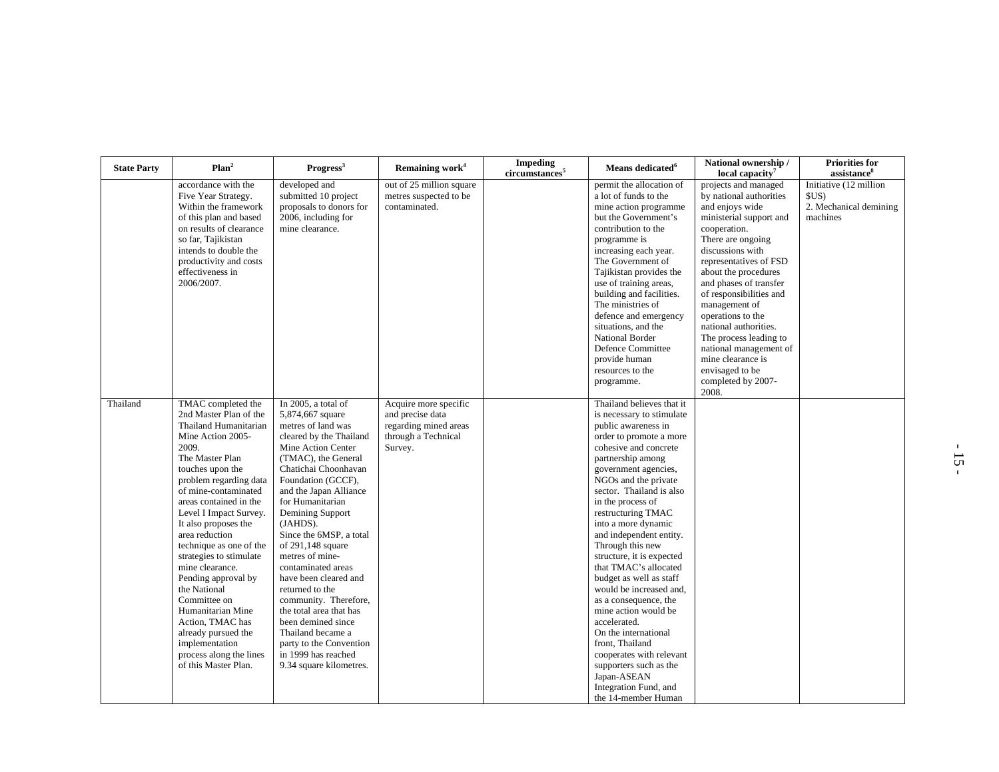| <b>State Party</b> | Plan <sup>2</sup>                                                                                                                                                                                                                                                                                                                                                                                                                                                                                                                                               | Progress <sup>3</sup>                                                                                                                                                                                                                                                                                                                                                                                                                                                                                                                                                              | Remaining work <sup>4</sup>                                                                          | <b>Impeding</b><br>circumstances <sup>5</sup> | Means dedicated <sup>6</sup>                                                                                                                                                                                                                                                                                                                                                                                                                                                                                                                                                                                                                                                                     | National ownership /<br>local capacity <sup>7</sup>                                                                                                                                                                                                                                                                                                                                                                                                     | <b>Priorities for</b><br>assistance <sup>8</sup>                    |
|--------------------|-----------------------------------------------------------------------------------------------------------------------------------------------------------------------------------------------------------------------------------------------------------------------------------------------------------------------------------------------------------------------------------------------------------------------------------------------------------------------------------------------------------------------------------------------------------------|------------------------------------------------------------------------------------------------------------------------------------------------------------------------------------------------------------------------------------------------------------------------------------------------------------------------------------------------------------------------------------------------------------------------------------------------------------------------------------------------------------------------------------------------------------------------------------|------------------------------------------------------------------------------------------------------|-----------------------------------------------|--------------------------------------------------------------------------------------------------------------------------------------------------------------------------------------------------------------------------------------------------------------------------------------------------------------------------------------------------------------------------------------------------------------------------------------------------------------------------------------------------------------------------------------------------------------------------------------------------------------------------------------------------------------------------------------------------|---------------------------------------------------------------------------------------------------------------------------------------------------------------------------------------------------------------------------------------------------------------------------------------------------------------------------------------------------------------------------------------------------------------------------------------------------------|---------------------------------------------------------------------|
|                    | accordance with the<br>Five Year Strategy.<br>Within the framework<br>of this plan and based<br>on results of clearance<br>so far, Tajikistan<br>intends to double the<br>productivity and costs<br>effectiveness in<br>2006/2007.                                                                                                                                                                                                                                                                                                                              | developed and<br>submitted 10 project<br>proposals to donors for<br>2006, including for<br>mine clearance.                                                                                                                                                                                                                                                                                                                                                                                                                                                                         | out of 25 million square<br>metres suspected to be<br>contaminated.                                  |                                               | permit the allocation of<br>a lot of funds to the<br>mine action programme<br>but the Government's<br>contribution to the<br>programme is<br>increasing each year.<br>The Government of<br>Tajikistan provides the<br>use of training areas,<br>building and facilities.<br>The ministries of<br>defence and emergency<br>situations, and the<br><b>National Border</b><br>Defence Committee<br>provide human<br>resources to the<br>programme.                                                                                                                                                                                                                                                  | projects and managed<br>by national authorities<br>and enjoys wide<br>ministerial support and<br>cooperation.<br>There are ongoing<br>discussions with<br>representatives of FSD<br>about the procedures<br>and phases of transfer<br>of responsibilities and<br>management of<br>operations to the<br>national authorities.<br>The process leading to<br>national management of<br>mine clearance is<br>envisaged to be<br>completed by 2007-<br>2008. | Initiative (12 million<br>SUS<br>2. Mechanical demining<br>machines |
| Thailand           | TMAC completed the<br>2nd Master Plan of the<br>Thailand Humanitarian<br>Mine Action 2005-<br>2009.<br>The Master Plan<br>touches upon the<br>problem regarding data<br>of mine-contaminated<br>areas contained in the<br>Level I Impact Survey.<br>It also proposes the<br>area reduction<br>technique as one of the<br>strategies to stimulate<br>mine clearance.<br>Pending approval by<br>the National<br>Committee on<br>Humanitarian Mine<br>Action, TMAC has<br>already pursued the<br>implementation<br>process along the lines<br>of this Master Plan. | In 2005, a total of<br>5,874,667 square<br>metres of land was<br>cleared by the Thailand<br>Mine Action Center<br>(TMAC), the General<br>Chatichai Choonhavan<br>Foundation (GCCF),<br>and the Japan Alliance<br>for Humanitarian<br>Demining Support<br>(JAHDS).<br>Since the 6MSP, a total<br>of 291,148 square<br>metres of mine-<br>contaminated areas<br>have been cleared and<br>returned to the<br>community. Therefore,<br>the total area that has<br>been demined since<br>Thailand became a<br>party to the Convention<br>in 1999 has reached<br>9.34 square kilometres. | Acquire more specific<br>and precise data<br>regarding mined areas<br>through a Technical<br>Survey. |                                               | Thailand believes that it<br>is necessary to stimulate<br>public awareness in<br>order to promote a more<br>cohesive and concrete<br>partnership among<br>government agencies,<br>NGOs and the private<br>sector. Thailand is also<br>in the process of<br>restructuring TMAC<br>into a more dynamic<br>and independent entity.<br>Through this new<br>structure, it is expected<br>that TMAC's allocated<br>budget as well as staff<br>would be increased and,<br>as a consequence, the<br>mine action would be<br>accelerated.<br>On the international<br>front, Thailand<br>cooperates with relevant<br>supporters such as the<br>Japan-ASEAN<br>Integration Fund, and<br>the 14-member Human |                                                                                                                                                                                                                                                                                                                                                                                                                                                         |                                                                     |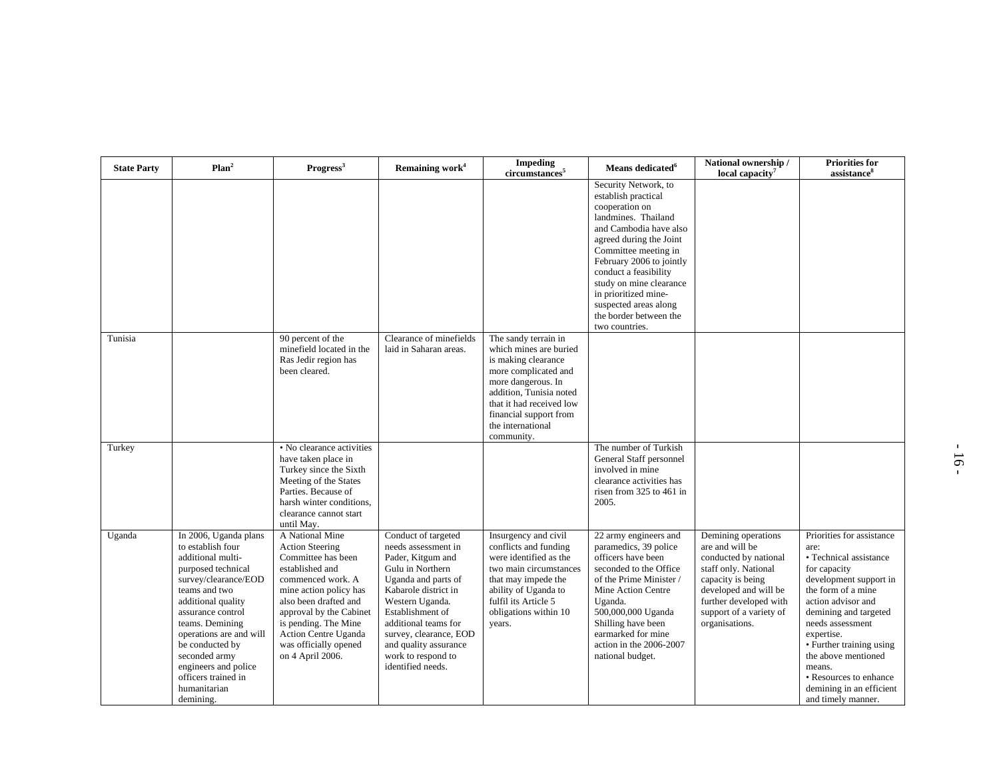| <b>State Party</b> | Plan <sup>2</sup>                                                                                                                                                                                                                                                                                                                       | Progress <sup>3</sup>                                                                                                                                                                                                                                                              | Remaining work <sup>4</sup>                                                                                                                                                                                                                                                                     | <b>Impeding</b><br>circumstances <sup>5</sup>                                                                                                                                                                                           | Means dedicated <sup>6</sup>                                                                                                                                                                                                                                                                                                                   | National ownership /<br>local capacity <sup>7</sup>                                                                                                                                                          | <b>Priorities for</b><br>assistance <sup>8</sup>                                                                                                                                                                                                                                                                                                      |
|--------------------|-----------------------------------------------------------------------------------------------------------------------------------------------------------------------------------------------------------------------------------------------------------------------------------------------------------------------------------------|------------------------------------------------------------------------------------------------------------------------------------------------------------------------------------------------------------------------------------------------------------------------------------|-------------------------------------------------------------------------------------------------------------------------------------------------------------------------------------------------------------------------------------------------------------------------------------------------|-----------------------------------------------------------------------------------------------------------------------------------------------------------------------------------------------------------------------------------------|------------------------------------------------------------------------------------------------------------------------------------------------------------------------------------------------------------------------------------------------------------------------------------------------------------------------------------------------|--------------------------------------------------------------------------------------------------------------------------------------------------------------------------------------------------------------|-------------------------------------------------------------------------------------------------------------------------------------------------------------------------------------------------------------------------------------------------------------------------------------------------------------------------------------------------------|
|                    |                                                                                                                                                                                                                                                                                                                                         |                                                                                                                                                                                                                                                                                    |                                                                                                                                                                                                                                                                                                 |                                                                                                                                                                                                                                         | Security Network, to<br>establish practical<br>cooperation on<br>landmines. Thailand<br>and Cambodia have also<br>agreed during the Joint<br>Committee meeting in<br>February 2006 to jointly<br>conduct a feasibility<br>study on mine clearance<br>in prioritized mine-<br>suspected areas along<br>the border between the<br>two countries. |                                                                                                                                                                                                              |                                                                                                                                                                                                                                                                                                                                                       |
| Tunisia            |                                                                                                                                                                                                                                                                                                                                         | 90 percent of the<br>minefield located in the<br>Ras Jedir region has<br>been cleared.                                                                                                                                                                                             | Clearance of minefields<br>laid in Saharan areas.                                                                                                                                                                                                                                               | The sandy terrain in<br>which mines are buried<br>is making clearance<br>more complicated and<br>more dangerous. In<br>addition, Tunisia noted<br>that it had received low<br>financial support from<br>the international<br>community. |                                                                                                                                                                                                                                                                                                                                                |                                                                                                                                                                                                              |                                                                                                                                                                                                                                                                                                                                                       |
| Turkey             |                                                                                                                                                                                                                                                                                                                                         | • No clearance activities<br>have taken place in<br>Turkey since the Sixth<br>Meeting of the States<br>Parties. Because of<br>harsh winter conditions,<br>clearance cannot start<br>until May.                                                                                     |                                                                                                                                                                                                                                                                                                 |                                                                                                                                                                                                                                         | The number of Turkish<br>General Staff personnel<br>involved in mine<br>clearance activities has<br>risen from 325 to 461 in<br>2005.                                                                                                                                                                                                          |                                                                                                                                                                                                              |                                                                                                                                                                                                                                                                                                                                                       |
| Uganda             | In 2006, Uganda plans<br>to establish four<br>additional multi-<br>purposed technical<br>survey/clearance/EOD<br>teams and two<br>additional quality<br>assurance control<br>teams. Demining<br>operations are and will<br>be conducted by<br>seconded army<br>engineers and police<br>officers trained in<br>humanitarian<br>demining. | A National Mine<br><b>Action Steering</b><br>Committee has been<br>established and<br>commenced work. A<br>mine action policy has<br>also been drafted and<br>approval by the Cabinet<br>is pending. The Mine<br>Action Centre Uganda<br>was officially opened<br>on 4 April 2006. | Conduct of targeted<br>needs assessment in<br>Pader, Kitgum and<br>Gulu in Northern<br>Uganda and parts of<br>Kabarole district in<br>Western Uganda.<br>Establishment of<br>additional teams for<br>survey, clearance, EOD<br>and quality assurance<br>work to respond to<br>identified needs. | Insurgency and civil<br>conflicts and funding<br>were identified as the<br>two main circumstances<br>that may impede the<br>ability of Uganda to<br>fulfil its Article 5<br>obligations within 10<br>years.                             | 22 army engineers and<br>paramedics, 39 police<br>officers have been<br>seconded to the Office<br>of the Prime Minister /<br>Mine Action Centre<br>Uganda.<br>500,000,000 Uganda<br>Shilling have been<br>earmarked for mine<br>action in the 2006-2007<br>national budget.                                                                    | Demining operations<br>are and will be<br>conducted by national<br>staff only. National<br>capacity is being<br>developed and will be<br>further developed with<br>support of a variety of<br>organisations. | Priorities for assistance<br>are:<br>• Technical assistance<br>for capacity<br>development support in<br>the form of a mine<br>action advisor and<br>demining and targeted<br>needs assessment<br>expertise.<br>• Further training using<br>the above mentioned<br>means.<br>• Resources to enhance<br>demining in an efficient<br>and timely manner. |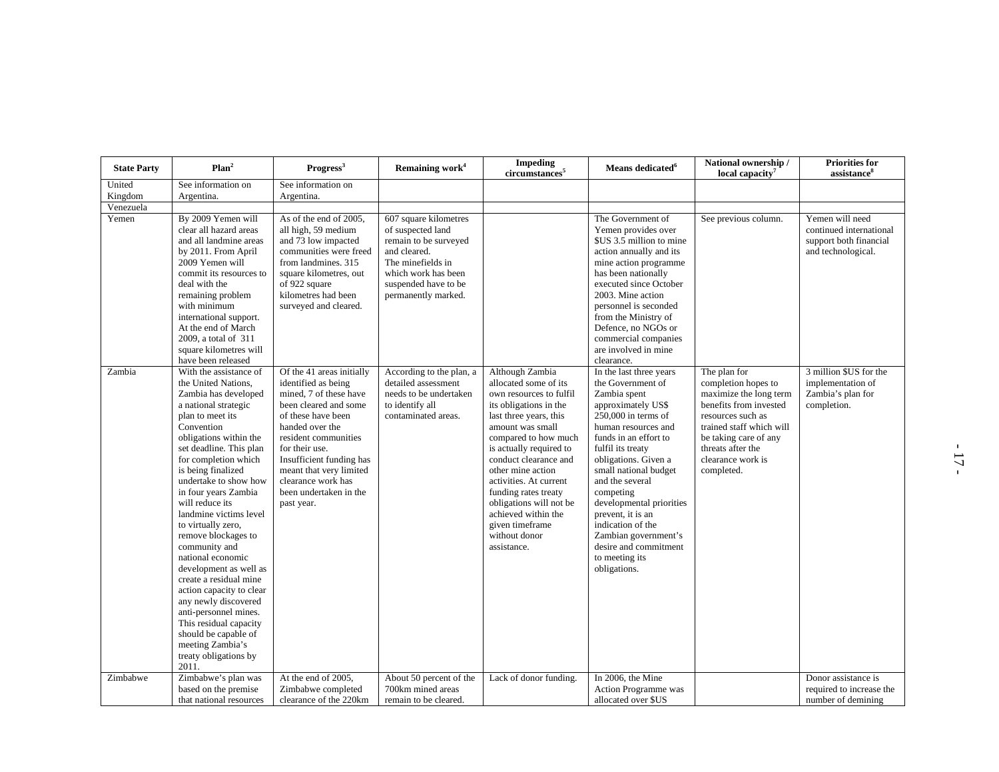| <b>State Party</b> | Plan <sup>2</sup>                                                                                                                                                                                                                                                                                                                                                                                                                                                                                                                                                                                                                                            | Progress <sup>3</sup>                                                                                                                                                                                                                                                                                       | Remaining work <sup>4</sup>                                                                                                                                                    | <b>Impeding</b><br>circumstances <sup>5</sup>                                                                                                                                                                                                                                                                                                                                                       | Means dedicated <sup>6</sup>                                                                                                                                                                                                                                                                                                                                                                                             | National ownership /<br>local capacity <sup>7</sup>                                                                                                                                                                       | <b>Priorities for</b><br>assistance <sup>8</sup>                                           |
|--------------------|--------------------------------------------------------------------------------------------------------------------------------------------------------------------------------------------------------------------------------------------------------------------------------------------------------------------------------------------------------------------------------------------------------------------------------------------------------------------------------------------------------------------------------------------------------------------------------------------------------------------------------------------------------------|-------------------------------------------------------------------------------------------------------------------------------------------------------------------------------------------------------------------------------------------------------------------------------------------------------------|--------------------------------------------------------------------------------------------------------------------------------------------------------------------------------|-----------------------------------------------------------------------------------------------------------------------------------------------------------------------------------------------------------------------------------------------------------------------------------------------------------------------------------------------------------------------------------------------------|--------------------------------------------------------------------------------------------------------------------------------------------------------------------------------------------------------------------------------------------------------------------------------------------------------------------------------------------------------------------------------------------------------------------------|---------------------------------------------------------------------------------------------------------------------------------------------------------------------------------------------------------------------------|--------------------------------------------------------------------------------------------|
| United             | See information on                                                                                                                                                                                                                                                                                                                                                                                                                                                                                                                                                                                                                                           | See information on                                                                                                                                                                                                                                                                                          |                                                                                                                                                                                |                                                                                                                                                                                                                                                                                                                                                                                                     |                                                                                                                                                                                                                                                                                                                                                                                                                          |                                                                                                                                                                                                                           |                                                                                            |
| Kingdom            | Argentina.                                                                                                                                                                                                                                                                                                                                                                                                                                                                                                                                                                                                                                                   | Argentina.                                                                                                                                                                                                                                                                                                  |                                                                                                                                                                                |                                                                                                                                                                                                                                                                                                                                                                                                     |                                                                                                                                                                                                                                                                                                                                                                                                                          |                                                                                                                                                                                                                           |                                                                                            |
| Venezuela          |                                                                                                                                                                                                                                                                                                                                                                                                                                                                                                                                                                                                                                                              |                                                                                                                                                                                                                                                                                                             |                                                                                                                                                                                |                                                                                                                                                                                                                                                                                                                                                                                                     |                                                                                                                                                                                                                                                                                                                                                                                                                          |                                                                                                                                                                                                                           |                                                                                            |
| Yemen              | By 2009 Yemen will<br>clear all hazard areas<br>and all landmine areas<br>by 2011. From April<br>2009 Yemen will<br>commit its resources to<br>deal with the<br>remaining problem<br>with minimum<br>international support.<br>At the end of March<br>2009, a total of 311<br>square kilometres will<br>have been released                                                                                                                                                                                                                                                                                                                                   | As of the end of 2005,<br>all high, 59 medium<br>and 73 low impacted<br>communities were freed<br>from landmines. 315<br>square kilometres, out<br>of 922 square<br>kilometres had been<br>surveyed and cleared.                                                                                            | 607 square kilometres<br>of suspected land<br>remain to be surveyed<br>and cleared.<br>The minefields in<br>which work has been<br>suspended have to be<br>permanently marked. |                                                                                                                                                                                                                                                                                                                                                                                                     | The Government of<br>Yemen provides over<br>\$US 3.5 million to mine<br>action annually and its<br>mine action programme<br>has been nationally<br>executed since October<br>2003. Mine action<br>personnel is seconded<br>from the Ministry of<br>Defence, no NGOs or<br>commercial companies<br>are involved in mine<br>clearance.                                                                                     | See previous column.                                                                                                                                                                                                      | Yemen will need<br>continued international<br>support both financial<br>and technological. |
| Zambia             | With the assistance of<br>the United Nations,<br>Zambia has developed<br>a national strategic<br>plan to meet its<br>Convention<br>obligations within the<br>set deadline. This plan<br>for completion which<br>is being finalized<br>undertake to show how<br>in four years Zambia<br>will reduce its<br>landmine victims level<br>to virtually zero,<br>remove blockages to<br>community and<br>national economic<br>development as well as<br>create a residual mine<br>action capacity to clear<br>any newly discovered<br>anti-personnel mines.<br>This residual capacity<br>should be capable of<br>meeting Zambia's<br>treaty obligations by<br>2011. | Of the 41 areas initially<br>identified as being<br>mined, 7 of these have<br>been cleared and some<br>of these have been<br>handed over the<br>resident communities<br>for their use.<br>Insufficient funding has<br>meant that very limited<br>clearance work has<br>been undertaken in the<br>past year. | According to the plan, a<br>detailed assessment<br>needs to be undertaken<br>to identify all<br>contaminated areas.                                                            | Although Zambia<br>allocated some of its<br>own resources to fulfil<br>its obligations in the<br>last three years, this<br>amount was small<br>compared to how much<br>is actually required to<br>conduct clearance and<br>other mine action<br>activities. At current<br>funding rates treaty<br>obligations will not be<br>achieved within the<br>given timeframe<br>without donor<br>assistance. | In the last three years<br>the Government of<br>Zambia spent<br>approximately US\$<br>250,000 in terms of<br>human resources and<br>funds in an effort to<br>fulfil its treaty<br>obligations. Given a<br>small national budget<br>and the several<br>competing<br>developmental priorities<br>prevent, it is an<br>indication of the<br>Zambian government's<br>desire and commitment<br>to meeting its<br>obligations. | The plan for<br>completion hopes to<br>maximize the long term<br>benefits from invested<br>resources such as<br>trained staff which will<br>be taking care of any<br>threats after the<br>clearance work is<br>completed. | 3 million \$US for the<br>implementation of<br>Zambia's plan for<br>completion.            |
| Zimbabwe           | Zimbabwe's plan was                                                                                                                                                                                                                                                                                                                                                                                                                                                                                                                                                                                                                                          | At the end of 2005,                                                                                                                                                                                                                                                                                         | About 50 percent of the                                                                                                                                                        | Lack of donor funding.                                                                                                                                                                                                                                                                                                                                                                              | In 2006, the Mine                                                                                                                                                                                                                                                                                                                                                                                                        |                                                                                                                                                                                                                           | Donor assistance is                                                                        |
|                    | based on the premise<br>that national resources                                                                                                                                                                                                                                                                                                                                                                                                                                                                                                                                                                                                              | Zimbabwe completed<br>clearance of the 220km                                                                                                                                                                                                                                                                | 700km mined areas<br>remain to be cleared.                                                                                                                                     |                                                                                                                                                                                                                                                                                                                                                                                                     | <b>Action Programme</b> was<br>allocated over \$US                                                                                                                                                                                                                                                                                                                                                                       |                                                                                                                                                                                                                           | required to increase the<br>number of demining                                             |